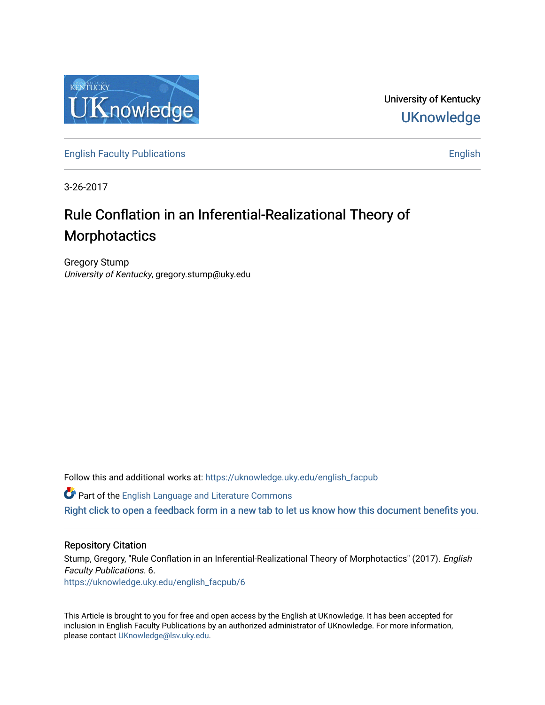

University of Kentucky **UKnowledge** 

[English Faculty Publications](https://uknowledge.uky.edu/english_facpub) **English** English

3-26-2017

# Rule Conflation in an Inferential-Realizational Theory of **Morphotactics**

Gregory Stump University of Kentucky, gregory.stump@uky.edu

Follow this and additional works at: [https://uknowledge.uky.edu/english\\_facpub](https://uknowledge.uky.edu/english_facpub?utm_source=uknowledge.uky.edu%2Fenglish_facpub%2F6&utm_medium=PDF&utm_campaign=PDFCoverPages) 

**C** Part of the [English Language and Literature Commons](http://network.bepress.com/hgg/discipline/455?utm_source=uknowledge.uky.edu%2Fenglish_facpub%2F6&utm_medium=PDF&utm_campaign=PDFCoverPages)

[Right click to open a feedback form in a new tab to let us know how this document benefits you.](https://uky.az1.qualtrics.com/jfe/form/SV_9mq8fx2GnONRfz7)

## Repository Citation

Stump, Gregory, "Rule Conflation in an Inferential-Realizational Theory of Morphotactics" (2017). English Faculty Publications. 6. [https://uknowledge.uky.edu/english\\_facpub/6](https://uknowledge.uky.edu/english_facpub/6?utm_source=uknowledge.uky.edu%2Fenglish_facpub%2F6&utm_medium=PDF&utm_campaign=PDFCoverPages) 

This Article is brought to you for free and open access by the English at UKnowledge. It has been accepted for inclusion in English Faculty Publications by an authorized administrator of UKnowledge. For more information, please contact [UKnowledge@lsv.uky.edu.](mailto:UKnowledge@lsv.uky.edu)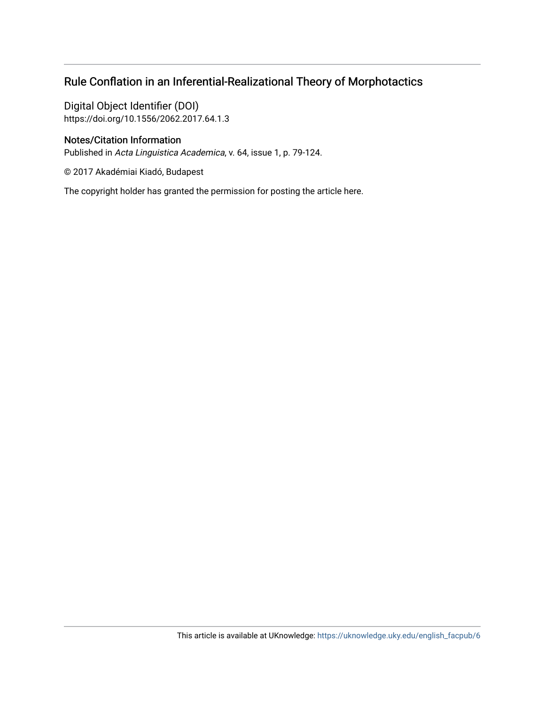## Rule Conflation in an Inferential-Realizational Theory of Morphotactics

Digital Object Identifier (DOI) https://doi.org/10.1556/2062.2017.64.1.3

## Notes/Citation Information

Published in Acta Linguistica Academica, v. 64, issue 1, p. 79-124.

© 2017 Akadémiai Kiadó, Budapest

The copyright holder has granted the permission for posting the article here.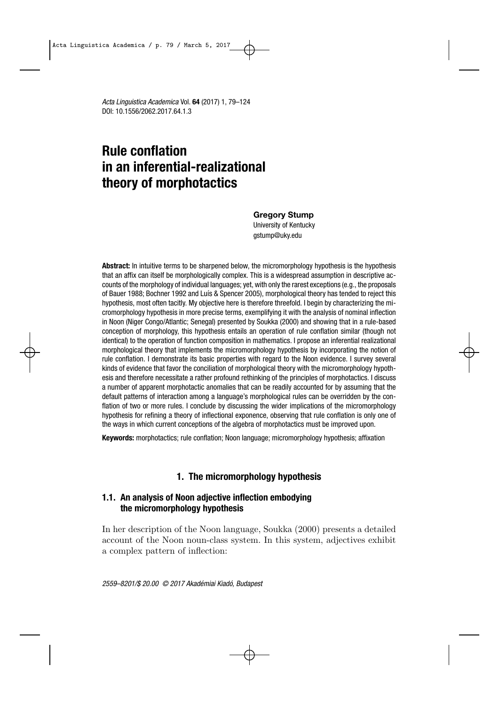## **Rule conflation in an inferential-realizational theory of morphotactics**

#### **Gregory Stump**

University of Kentucky gstump@uky.edu

**Abstract:** In intuitive terms to be sharpened below, the micromorphology hypothesis is the hypothesis that an affix can itself be morphologically complex. This is a widespread assumption in descriptive accounts of the morphology of individual languages; yet, with only the rarest exceptions (e.g., the proposals of Bauer 1988; Bochner 1992 and Luís & Spencer 2005), morphological theory has tended to reject this hypothesis, most often tacitly. My objective here is therefore threefold. I begin by characterizing the micromorphology hypothesis in more precise terms, exemplifying it with the analysis of nominal inflection in Noon (Niger Congo/Atlantic; Senegal) presented by Soukka (2000) and showing that in a rule-based conception of morphology, this hypothesis entails an operation of rule conflation similar (though not identical) to the operation of function composition in mathematics. I propose an inferential realizational morphological theory that implements the micromorphology hypothesis by incorporating the notion of rule conflation. I demonstrate its basic properties with regard to the Noon evidence. I survey several kinds of evidence that favor the conciliation of morphological theory with the micromorphology hypothesis and therefore necessitate a rather profound rethinking of the principles of morphotactics. I discuss a number of apparent morphotactic anomalies that can be readily accounted for by assuming that the default patterns of interaction among a language's morphological rules can be overridden by the conflation of two or more rules. I conclude by discussing the wider implications of the micromorphology hypothesis for refining a theory of inflectional exponence, observing that rule conflation is only one of the ways in which current conceptions of the algebra of morphotactics must be improved upon.

**Keywords:** morphotactics; rule conflation; Noon language; micromorphology hypothesis; affixation

## **1. The micromorphology hypothesis**

## **1.1. An analysis of Noon adjective inflection embodying the micromorphology hypothesis**

In her description of the Noon language, Soukka (2000) presents a detailed account of the Noon noun-class system. In this system, adjectives exhibit a complex pattern of inflection: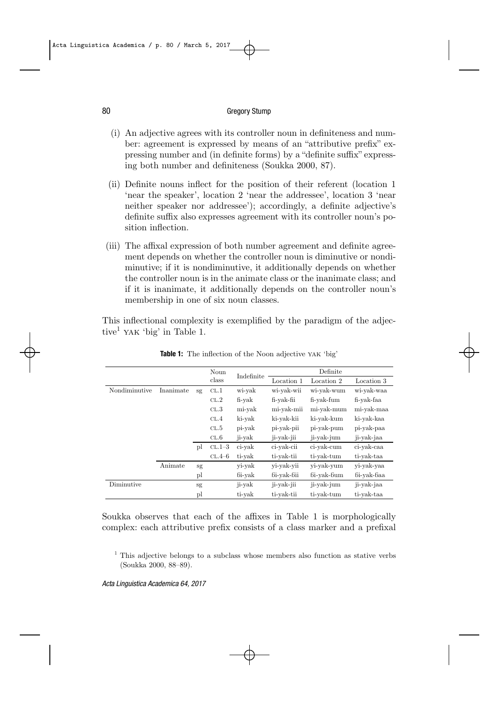#### 80 **Gregory Stump**

- (i) An adjective agrees with its controller noun in definiteness and number: agreement is expressed by means of an "attributive prefix" expressing number and (in definite forms) by a "definite suffix" expressing both number and definiteness (Soukka 2000, 87).
- (ii) Definite nouns inflect for the position of their referent (location 1 'near the speaker', location 2 'near the addressee', location 3 'near neither speaker nor addressee'); accordingly, a definite adjective's definite suffix also expresses agreement with its controller noun's position inflection.
- (iii) The affixal expression of both number agreement and definite agreement depends on whether the controller noun is diminutive or nondiminutive; if it is nondiminutive, it additionally depends on whether the controller noun is in the animate class or the inanimate class; and if it is inanimate, it additionally depends on the controller noun's membership in one of six noun classes.

This inflectional complexity is exemplified by the paradigm of the adjective<sup>1</sup> YAK 'big' in Table 1.

|               |           |    | Noun     | Indefinite | Definite   |                  |            |  |  |
|---------------|-----------|----|----------|------------|------------|------------------|------------|--|--|
|               |           |    | class    |            | Location 1 | Location 2       | Location 3 |  |  |
| Nondiminutive | Inanimate | sg | CL.1     | wi-yak     | wi-yak-wii | wi-yak-wum       | wi-yak-waa |  |  |
|               |           |    | CL.2     | fi-yak     | fi-yak-fii | fi-yak-fum       | fi-yak-faa |  |  |
|               |           |    | CL.3     | mi-yak     | mi-yak-mii | mi-yak-mum       | mi-yak-maa |  |  |
|               |           |    | CL.4     | ki-yak     | ki-vak-kii | ki-yak-kum       | ki-yak-kaa |  |  |
|               |           |    | CL.5     | pi-yak     | pi-yak-pii | pi-yak-pum       | pi-yak-paa |  |  |
|               |           |    | CL.6     | ji-yak     | ji-yak-jii | ji-yak-jum       | ji-yak-jaa |  |  |
|               |           | pl | $CL.1-3$ | ci-yak     | ci-yak-cii | ci-vak-cum       | ci-vak-caa |  |  |
|               |           |    | $CL.4-6$ | ti-yak     | ti-yak-tii | ti-vak-tum       | ti-vak-taa |  |  |
|               | Animate   | sg |          | yi-yak     | yi-yak-yii | yi-yak-yum       | yi-yak-yaa |  |  |
|               |           | pl |          | 61-yak     | 6i-yak-6ii | $6i$ -vak- $6um$ | 6i-yak-6aa |  |  |
| Diminutive    |           | sg |          | ji-yak     | ji-yak-jii | ji-yak-jum       | ji-yak-jaa |  |  |
|               |           | pl |          | ti-yak     | ti-vak-tii | ti-vak-tum       | ti-yak-taa |  |  |

**Table 1:** The inflection of the Noon adjective YAK 'big'

Soukka observes that each of the affixes in Table 1 is morphologically complex: each attributive prefix consists of a class marker and a prefixal

<sup>&</sup>lt;sup>1</sup> This adjective belongs to a subclass whose members also function as stative verbs (Soukka 2000, 88–89).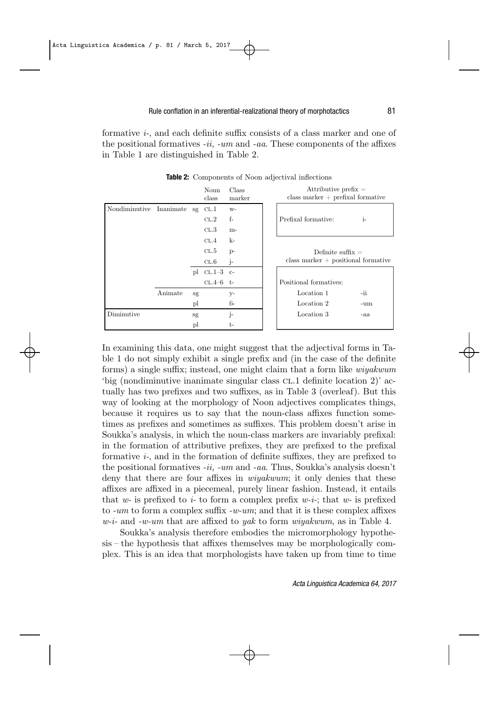formative *i-*, and each definite suffix consists of a class marker and one of the positional formatives *-ii, -um* and *-aa*. These components of the affixes in Table 1 are distinguished in Table 2.

|               |                   |    | Noun<br>class  | Class<br>marker | Attributive prefix $=$<br>$class$ marker $+$ prefixal formative |              |  |
|---------------|-------------------|----|----------------|-----------------|-----------------------------------------------------------------|--------------|--|
| Nondiminutive | Inanimate sg CL.1 |    |                | $W-$            |                                                                 |              |  |
|               |                   |    | CL.2           | $f-$            | Prefixal formative:                                             | $\mathbf{i}$ |  |
|               |                   |    | CL.3           | $m-$            |                                                                 |              |  |
|               |                   |    | CL.4           | $k-$            |                                                                 |              |  |
|               |                   |    | CL.5           | $p-$            | Definite suffix $=$                                             |              |  |
|               |                   |    | CL.6           | j-              | class marker $+$ positional formative                           |              |  |
|               |                   |    | $pl$ CL.1-3 c- |                 |                                                                 |              |  |
|               |                   |    | $CL.4–6$ t-    |                 | Positional formatives:                                          |              |  |
|               | Animate           | sg |                | $y-$            | Location 1                                                      | -ii          |  |
|               |                   | pl |                | 6-              | Location 2                                                      | -um          |  |
| Diminutive    |                   | sg |                | j-              | Location 3                                                      | -aa          |  |
|               |                   | pl |                | t-              |                                                                 |              |  |

**Table 2:** Components of Noon adjectival inflections

In examining this data, one might suggest that the adjectival forms in Table 1 do not simply exhibit a single prefix and (in the case of the definite forms) a single suffix; instead, one might claim that a form like *wiyakwum* 'big (nondiminutive inanimate singular class CL.1 definite location 2)' actually has two prefixes and two suffixes, as in Table 3 (overleaf). But this way of looking at the morphology of Noon adjectives complicates things, because it requires us to say that the noun-class affixes function sometimes as prefixes and sometimes as suffixes. This problem doesn't arise in Soukka's analysis, in which the noun-class markers are invariably prefixal: in the formation of attributive prefixes, they are prefixed to the prefixal formative *i-*, and in the formation of definite suffixes, they are prefixed to the positional formatives *-ii, -um* and *-aa*. Thus, Soukka's analysis doesn't deny that there are four affixes in *wiyakwum*; it only denies that these affixes are affixed in a piecemeal, purely linear fashion. Instead, it entails that *w*- is prefixed to *i*- to form a complex prefix *w*-*i*-; that *w*- is prefixed to *-um* to form a complex suffix *-w-um*; and that it is these complex affixes *w-i-* and *-w-um* that are affixed to *yak* to form *wiyakwum*, as in Table 4.

Soukka's analysis therefore embodies the micromorphology hypothesis – the hypothesis that affixes themselves may be morphologically complex. This is an idea that morphologists have taken up from time to time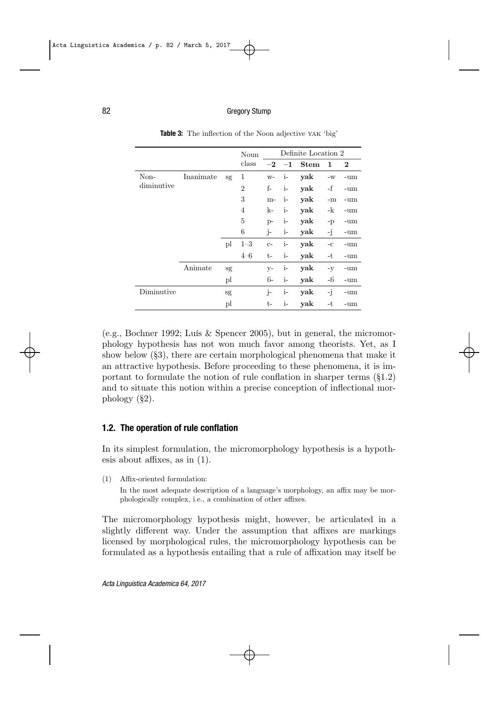|            |           |    | Noun           |       | Definite Location 2 |             |      |          |  |
|------------|-----------|----|----------------|-------|---------------------|-------------|------|----------|--|
|            |           |    | class          |       | $^{-1}$             | <b>Stem</b> | 1    | $\bf{2}$ |  |
| Non-       | Inanimate | sg | 1              | $W-$  | $i-$                | yak         | $-W$ | -um      |  |
| diminutive |           |    | $\overline{2}$ | $f-$  | $i-$                | yak         | -f   | -um      |  |
|            |           |    | 3              | m-    | $i-$                | yak         | $-m$ | -um      |  |
|            |           |    | 4              | k-    | $i-$                | yak         | -k   | -um      |  |
|            |           |    | 5              | $p-$  | $i-$                | yak         | $-p$ | -um      |  |
|            |           |    | 6              | j-    | $i-$                | yak         | -j   | -um      |  |
|            |           | pl | $1 - 3$        | $C-$  | $i-$                | yak         | $-c$ | -um      |  |
|            |           |    | $4 - 6$        | t-    | $i-$                | yak         | -t   | -um      |  |
|            | Animate   | sg |                | $V -$ | $i-$                | yak         | $-V$ | -um      |  |
|            |           | pl |                | 6-    | $i-$                | yak         | -6   | -um      |  |
| Diminutive |           | sg |                | j-    | $i-$                | yak         | -j   | -um      |  |
|            |           | pl |                | t-    | i-                  | yak         | -t   | -um      |  |

**Table 3:** The inflection of the Noon adjective YAK 'big'

(e.g., Bochner 1992; Luís & Spencer 2005), but in general, the micromorphology hypothesis has not won much favor among theorists. Yet, as I show below (§3), there are certain morphological phenomena that make it an attractive hypothesis. Before proceeding to these phenomena, it is important to formulate the notion of rule conflation in sharper terms  $(\S1.2)$ and to situate this notion within a precise conception of inflectional morphology (§2).

#### **1.2. The operation of rule conflation**

In its simplest formulation, the micromorphology hypothesis is a hypothesis about affixes, as in (1).

(1) Affix-oriented formulation:

In the most adequate description of a language's morphology, an affix may be morphologically complex, i.e., a combination of other affixes.

The micromorphology hypothesis might, however, be articulated in a slightly different way. Under the assumption that affixes are markings licensed by morphological rules, the micromorphology hypothesis can be formulated as a hypothesis entailing that a rule of affixation may itself be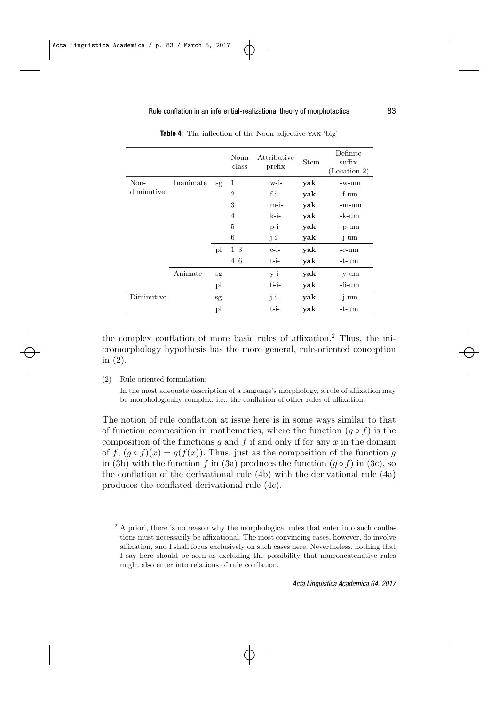|            |           |    | Noun<br>class  | Attributive<br>prefix | <b>Stem</b> | Definite<br>suffix<br>(Location 2) |
|------------|-----------|----|----------------|-----------------------|-------------|------------------------------------|
| Non-       | Inanimate | sg | $\mathbf{1}$   | w-i-                  | yak         | -w-um                              |
| diminutive |           |    | $\overline{2}$ | $f - i -$             | yak         | -f-um                              |
|            |           |    | 3              | m-i-                  | yak         | $-m-$ um                           |
|            |           |    | 4              | $k-i-$                | yak         | -k-um                              |
|            |           |    | 5              | $p-i-$                | yak         | -p-um                              |
|            |           |    | 6              | $j-i-$                | yak         | $-i$ -um                           |
|            |           | pl | $1 - 3$        | $c-i-$                | yak         | $-c$ -um                           |
|            |           |    | $4 - 6$        | $t-i-$                | yak         | -t-um                              |
|            | Animate   | sg |                | $v-i-$                | yak         | -y-um                              |
|            |           | pl |                | 6-i-                  | yak         | -6-um                              |
| Diminutive |           | sg |                | $j-i-$                | yak         | $-i$ -um                           |
|            |           | pl |                | $t-i-$                | yak         | $-t$ -um                           |

**Table 4:** The inflection of the Noon adjective YAK 'big'

the complex conflation of more basic rules of affixation.<sup>2</sup> Thus, the micromorphology hypothesis has the more general, rule-oriented conception in (2).

(2) Rule-oriented formulation:

In the most adequate description of a language's morphology, a rule of affixation may be morphologically complex, i.e., the conflation of other rules of affixation.

The notion of rule conflation at issue here is in some ways similar to that of function composition in mathematics, where the function  $(q \circ f)$  is the composition of the functions *g* and *f* if and only if for any *x* in the domain of  $f$ ,  $(g \circ f)(x) = g(f(x))$ . Thus, just as the composition of the function *g* in (3b) with the function *f* in (3a) produces the function  $(q \circ f)$  in (3c), so the conflation of the derivational rule (4b) with the derivational rule (4a) produces the conflated derivational rule (4c).

<sup>&</sup>lt;sup>2</sup> A priori, there is no reason why the morphological rules that enter into such conflations must necessarily be affixational. The most convincing cases, however, do involve affixation, and I shall focus exclusively on such cases here. Nevertheless, nothing that I say here should be seen as excluding the possibility that nonconcatenative rules might also enter into relations of rule conflation.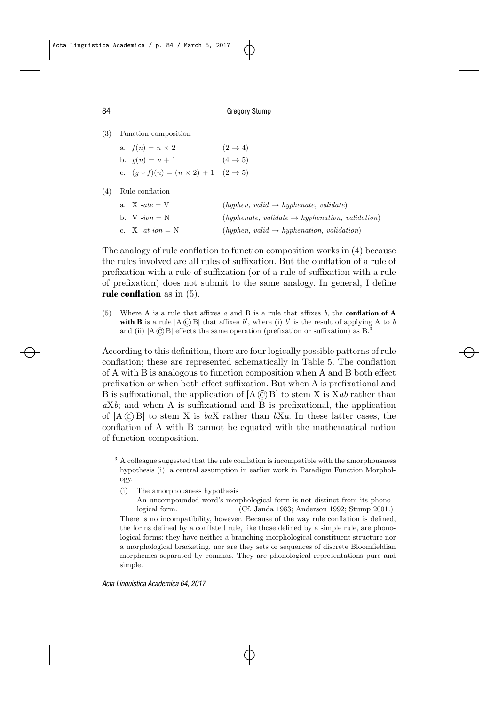(3) Function composition

a.  $f(n) = n \times 2$  (2  $\to 4$ ) b.  $g(n) = n + 1$  (4  $\rightarrow$  5) c.  $(q \circ f)(n) = (n \times 2) + 1 \quad (2 \to 5)$ 

(4) Rule conflation

| a. X - $ate = V$     | $(hyphen, valid \rightarrow hyphenate, validate)$           |
|----------------------|-------------------------------------------------------------|
| b. V $-ion = N$      | (hyphenate, validate $\rightarrow$ hyphenation, validation) |
| c. $X - at$ -ion = N | $(hyphen, valid \rightarrow hyphenation, validation)$       |

The analogy of rule conflation to function composition works in (4) because the rules involved are all rules of suffixation. But the conflation of a rule of prefixation with a rule of suffixation (or of a rule of suffixation with a rule of prefixation) does not submit to the same analogy. In general, I define **rule conflation** as in (5).

(5) Where A is a rule that affixes *a* and B is a rule that affixes *b*, the **conflation of A** with **B** is a rule  $[A \odot B]$  that affixes *b'*, where (i) *b'* is the result of applying A to *b* and (ii)  $[A \odot B]$  effects the same operation (prefixation or suffixation) as B.

According to this definition, there are four logically possible patterns of rule conflation; these are represented schematically in Table 5. The conflation of A with B is analogous to function composition when A and B both effect prefixation or when both effect suffixation. But when A is prefixational and B is suffixational, the application of  $[A \odot B]$  to stem X is X*ab* rather than  $aXb$ ; and when A is suffixational and B is prefixational, the application of [A© B] to stem X is *ba*X rather than *b*X*a*. In these latter cases, the conflation of A with B cannot be equated with the mathematical notion of function composition.

- <sup>3</sup> A colleague suggested that the rule conflation is incompatible with the amorphousness hypothesis (i), a central assumption in earlier work in Paradigm Function Morphology.
	- (i) The amorphousness hypothesis

An uncompounded word's morphological form is not distinct from its phonological form. (Cf. Janda 1983; Anderson 1992; Stump 2001.) There is no incompatibility, however. Because of the way rule conflation is defined, the forms defined by a conflated rule, like those defined by a simple rule, are phonological forms: they have neither a branching morphological constituent structure nor a morphological bracketing, nor are they sets or sequences of discrete Bloomfieldian morphemes separated by commas. They are phonological representations pure and simple.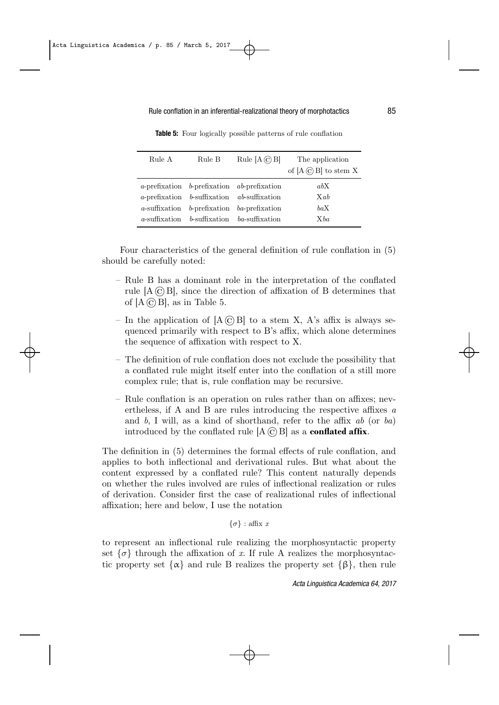| Rule A | Rule B | Rule $[A \odot B]$                                  | The application<br>of $[A \odot B]$ to stem X |
|--------|--------|-----------------------------------------------------|-----------------------------------------------|
|        |        | $a$ -prefixation $b$ -prefixation $ab$ -prefixation | abX                                           |
|        |        | $a$ -prefixation $b$ -suffixation $ab$ -suffixation | Xab                                           |
|        |        | a-suffixation $b$ -prefixation $ba$ -prefixation    | baX                                           |
|        |        | a-suffixation b-suffixation ba-suffixation          | Xba                                           |

**Table 5:** Four logically possible patterns of rule conflation

Four characteristics of the general definition of rule conflation in (5) should be carefully noted:

- Rule B has a dominant role in the interpretation of the conflated rule  $[A \circled{c}]$ , since the direction of affixation of B determines that of  $[A \odot B]$ , as in Table 5.
- In the application of  $[A \odot B]$  to a stem X, A's affix is always sequenced primarily with respect to B's affix, which alone determines the sequence of affixation with respect to X.
- The definition of rule conflation does not exclude the possibility that a conflated rule might itself enter into the conflation of a still more complex rule; that is, rule conflation may be recursive.
- Rule conflation is an operation on rules rather than on affixes; nevertheless, if A and B are rules introducing the respective affixes *a* and *b*, I will, as a kind of shorthand, refer to the affix *ab* (or *ba*) introduced by the conflated rule  $[A \odot B]$  as a **conflated affix**.

The definition in (5) determines the formal effects of rule conflation, and applies to both inflectional and derivational rules. But what about the content expressed by a conflated rule? This content naturally depends on whether the rules involved are rules of inflectional realization or rules of derivation. Consider first the case of realizational rules of inflectional affixation; here and below, I use the notation

*{σ}* : affix *x*

to represent an inflectional rule realizing the morphosyntactic property set  $\{\sigma\}$  through the affixation of *x*. If rule A realizes the morphosyntactic property set  $\{\alpha\}$  and rule B realizes the property set  $\{\beta\}$ , then rule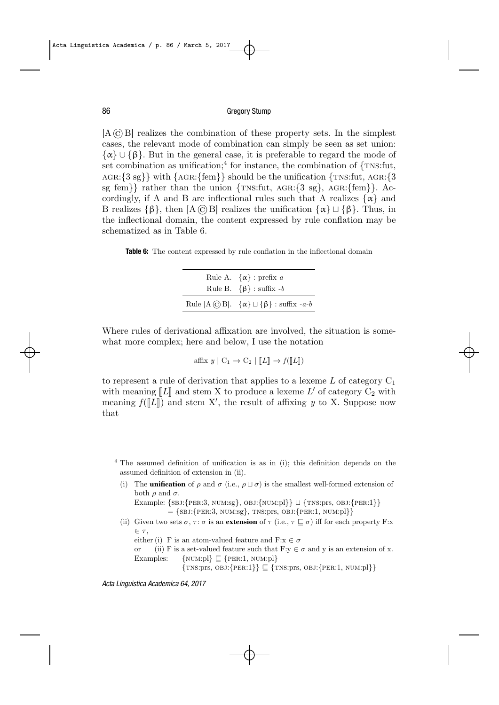[A© B] realizes the combination of these property sets. In the simplest cases, the relevant mode of combination can simply be seen as set union: *{*α*} ∪ {*β*}*. But in the general case, it is preferable to regard the mode of set combination as unification;<sup>4</sup> for instance, the combination of  $\{TNS:fut,$ AGR:*{*3 sg*}}* with *{*AGR:*{*fem*}}* should be the unification *{*TNS:fut, AGR:*{*3 sg fem*}}* rather than the union *{*TNS:fut, AGR:*{*3 sg*}*, AGR:*{*fem*}}*. Accordingly, if A and B are inflectional rules such that A realizes  $\{\alpha\}$  and B realizes  $\{\beta\}$ , then  $[A \odot B]$  realizes the unification  $\{\alpha\} \sqcup \{\beta\}$ . Thus, in the inflectional domain, the content expressed by rule conflation may be schematized as in Table 6.

**Table 6:** The content expressed by rule conflation in the inflectional domain

| Rule A. $\{\alpha\}$ : prefix <i>a</i> -<br>Rule B. $\{\beta\}$ : suffix -b |
|-----------------------------------------------------------------------------|
| Rule $[A \odot B]$ . $\{\alpha\} \sqcup \{\beta\}$ : suffix -a-b            |

Where rules of derivational affixation are involved, the situation is somewhat more complex; here and below, I use the notation

affix 
$$
y \mid C_1 \to C_2 \mid [L] \to f([L])
$$

to represent a rule of derivation that applies to a lexeme  $L$  of category  $C_1$ with meaning  $\llbracket L \rrbracket$  and stem X to produce a lexeme  $L'$  of category  $C_2$  with meaning  $f(\llbracket L \rrbracket)$  and stem X', the result of affixing y to X. Suppose now that

(i) The **unification** of  $\rho$  and  $\sigma$  (i.e.,  $\rho \sqcup \sigma$ ) is the smallest well-formed extension of both  $ρ$  and  $σ$ .

Example: *{*SBJ:*{*PER:3, NUM:sg*}*, OBJ:*{*NUM:pl*}} ⊔ {*TNS:prs, OBJ:*{*PER:1*}}* = *{*SBJ:*{*PER:3, NUM:sg*}*, TNS:prs, OBJ:*{*PER:1, NUM:pl*}}*

(ii) Given two sets  $\sigma$ ,  $\tau$ :  $\sigma$  is an **extension** of  $\tau$  (i.e.,  $\tau \sqsubseteq \sigma$ ) iff for each property F:x *∈ τ* ,

either (i) F is an atom-valued feature and F: $x \in \sigma$ 

```
or (ii) F is a set-valued feature such that F: y \in \sigma and y is an extension of x.
Examples: {NUM:pl} ⊑ {PER:1, NUM:pl}
              {TNS:prs, OBJ:{PER:1}} ⊑ {TNS:prs, OBJ:{PER:1, NUM:pl}}
```
*Acta Linguistica Academica 64, 2017*

The assumed definition of unification is as in (i); this definition depends on the assumed definition of extension in (ii).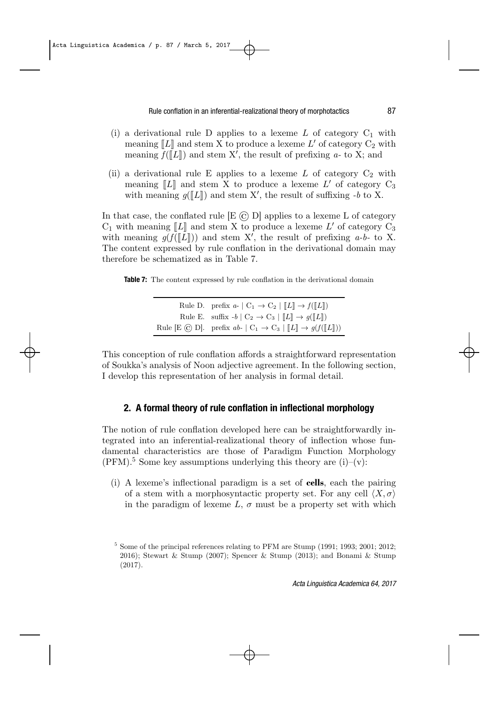- (i) a derivational rule D applies to a lexeme L of category  $C_1$  with meaning  $\llbracket L \rrbracket$  and stem X to produce a lexeme *L'* of category  $C_2$  with meaning  $f(\llbracket L \rrbracket)$  and stem X<sup>'</sup>, the result of prefixing  $a$ - to X; and
- (ii) a derivational rule E applies to a lexeme  $L$  of category  $C_2$  with meaning  $\llbracket L \rrbracket$  and stem X to produce a lexeme *L'* of category  $C_3$ <br>with meaning  $\ell(\llbracket L \rrbracket)$  and stem Y' the wordt of perform b to Y with meaning  $g(\llbracket L \rrbracket)$  and stem X<sup>'</sup>, the result of suffixing *-b* to X.

In that case, the conflated rule  $[E \bigodot D]$  applies to a lexeme L of category  $C_1$  with meaning  $\llbracket L \rrbracket$  and stem X to produce a lexeme *L'* of category  $C_3$ <br>with meaning  $\ell(f(\llbracket I \rrbracket))$  and stem  $X'$  the parallel of profession at the X with meaning  $g(f([L]))$  and stem X', the result of prefixing *a-b-* to X. The content expressed by rule conflation in the derivational domain may therefore be schematized as in Table 7.

**Table 7:** The content expressed by rule conflation in the derivational domain

Rule D. prefix  $a - | C_1 \rightarrow C_2 | [[L]] \rightarrow f([L]])$ Rule E. suffix  $-b \mid C_2 \to C_3 \mid \llbracket L \rrbracket \to q(\llbracket L \rrbracket)$ Rule  $[E \bigodot D]$ . prefix  $ab$ -  $C_1 \rightarrow C_3 \mid [L] \rightarrow g(f([L]))$ 

This conception of rule conflation affords a straightforward representation of Soukka's analysis of Noon adjective agreement. In the following section, I develop this representation of her analysis in formal detail.

## **2. A formal theory of rule conflation in inflectional morphology**

The notion of rule conflation developed here can be straightforwardly integrated into an inferential-realizational theory of inflection whose fundamental characteristics are those of Paradigm Function Morphology  $(PFM).$ <sup>5</sup> Some key assumptions underlying this theory are (i)–(v):

(i) A lexeme's inflectional paradigm is a set of **cells**, each the pairing of a stem with a morphosyntactic property set. For any cell  $\langle X, \sigma \rangle$ in the paradigm of lexeme  $L, \sigma$  must be a property set with which

<sup>&</sup>lt;sup>5</sup> Some of the principal references relating to PFM are Stump (1991; 1993; 2001; 2012; 2016); Stewart & Stump (2007); Spencer & Stump (2013); and Bonami & Stump (2017).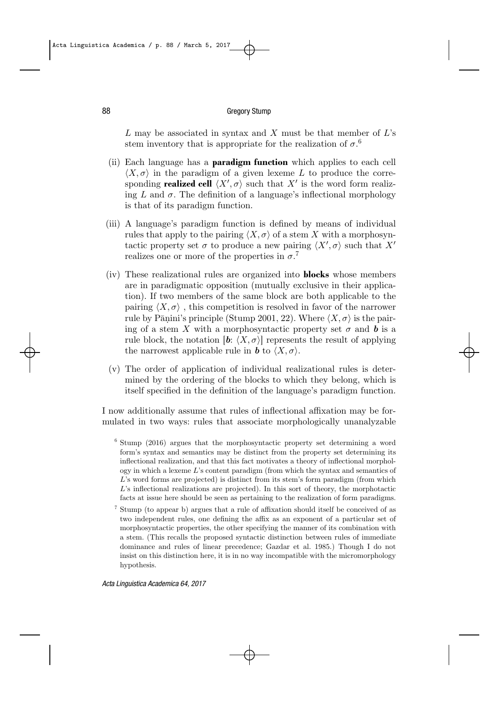#### 88 Gregory Stump

*L* may be associated in syntax and *X* must be that member of *L*'s stem inventory that is appropriate for the realization of  $\sigma$ <sup>6</sup>.

- (ii) Each language has a **paradigm function** which applies to each cell  $\langle X, \sigma \rangle$  in the paradigm of a given lexeme *L* to produce the corresponding **realized cell**  $\langle X', \sigma \rangle$  such that  $X'$  is the word form realizing *L* and  $\sigma$ . The definition of a language's inflectional morphology is that of its paradigm function.
- (iii) A language's paradigm function is defined by means of individual rules that apply to the pairing  $\langle X, \sigma \rangle$  of a stem X with a morphosyntactic property set  $\sigma$  to produce a new pairing  $\langle X', \sigma \rangle$  such that  $X'$ realizes one or more of the properties in  $\sigma$ <sup>7</sup>
- (iv) These realizational rules are organized into **blocks** whose members are in paradigmatic opposition (mutually exclusive in their application). If two members of the same block are both applicable to the pairing  $\langle X, \sigma \rangle$ , this competition is resolved in favor of the narrower rule by Pānini's principle (Stump 2001, 22). Where  $\langle X, \sigma \rangle$  is the pairing of a stem X with a morphosyntactic property set  $\sigma$  and **b** is a rule block, the notation  $\vert \mathbf{b}: \langle X, \sigma \rangle \vert$  represents the result of applying the narrowest applicable rule in *b* to  $\langle X, \sigma \rangle$ .
- (v) The order of application of individual realizational rules is determined by the ordering of the blocks to which they belong, which is itself specified in the definition of the language's paradigm function.

I now additionally assume that rules of inflectional affixation may be formulated in two ways: rules that associate morphologically unanalyzable

- <sup>6</sup> Stump (2016) argues that the morphosyntactic property set determining a word form's syntax and semantics may be distinct from the property set determining its inflectional realization, and that this fact motivates a theory of inflectional morphology in which a lexeme *L*'s content paradigm (from which the syntax and semantics of *L*'s word forms are projected) is distinct from its stem's form paradigm (from which L's inflectional realizations are projected). In this sort of theory, the morphotactic facts at issue here should be seen as pertaining to the realization of form paradigms.
- <sup>7</sup> Stump (to appear b) argues that a rule of affixation should itself be conceived of as two independent rules, one defining the affix as an exponent of a particular set of morphosyntactic properties, the other specifying the manner of its combination with a stem. (This recalls the proposed syntactic distinction between rules of immediate dominance and rules of linear precedence; Gazdar et al. 1985.) Though I do not insist on this distinction here, it is in no way incompatible with the micromorphology hypothesis.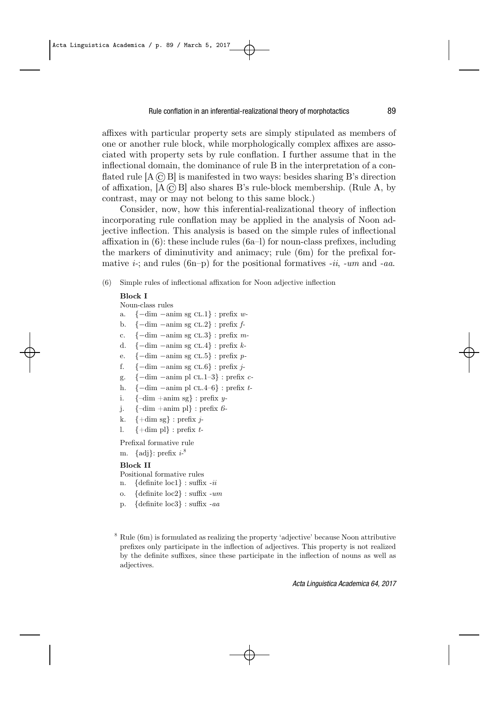affixes with particular property sets are simply stipulated as members of one or another rule block, while morphologically complex affixes are associated with property sets by rule conflation. I further assume that in the inflectional domain, the dominance of rule B in the interpretation of a conflated rule  $[A \odot B]$  is manifested in two ways: besides sharing B's direction of affixation, [A© B] also shares B's rule-block membership. (Rule A, by contrast, may or may not belong to this same block.)

Consider, now, how this inferential-realizational theory of inflection incorporating rule conflation may be applied in the analysis of Noon adjective inflection. This analysis is based on the simple rules of inflectional affixation in  $(6)$ : these include rules  $(6a-1)$  for noun-class prefixes, including the markers of diminutivity and animacy; rule (6m) for the prefixal formative *i-*; and rules (6n–p) for the positional formatives *-ii*, *-um* and *-aa*.

(6) Simple rules of inflectional affixation for Noon adjective inflection

#### **Block I**

Noun-class rules

- a. *{−*dim *−*anim sg CL.1*}* : prefix *w-*
- b. *{−*dim *−*anim sg CL.2*}* : prefix *f-*
- c. *{−*dim *−*anim sg CL.3*}* : prefix *m-*
- d. *{−*dim *−*anim sg CL.4*}* : prefix *k-*
- e. *{−*dim *−*anim sg CL.5*}* : prefix *p-*
- f. *{−*dim *−*anim sg CL.6*}* : prefix *j-*
- g. *{−*dim *−*anim pl CL.1–3*}* : prefix *c-*
- h. *{−*dim *−*anim pl CL.4–6*}* : prefix *t-*
- i.  $\{-dim + \text{anim sg}\}$ : prefix *y*-
- j.  $\{-dim + \text{anim pl}\}$ : prefix  $\delta$ -
- k. *{*+dim sg*}* : prefix *j-*
- l. *{*+dim pl*}* : prefix *t-*

Prefixal formative rule

```
m. {adj}: prefix i-8
```
#### **Block II**

Positional formative rules

- n. *{*definite loc1*}* : suffix *-ii*
- o. *{*definite loc2*}* : suffix *-um*
- p. *{*definite loc3*}* : suffix *-aa*

<sup>8</sup> Rule (6m) is formulated as realizing the property 'adjective' because Noon attributive prefixes only participate in the inflection of adjectives. This property is not realized by the definite suffixes, since these participate in the inflection of nouns as well as adjectives.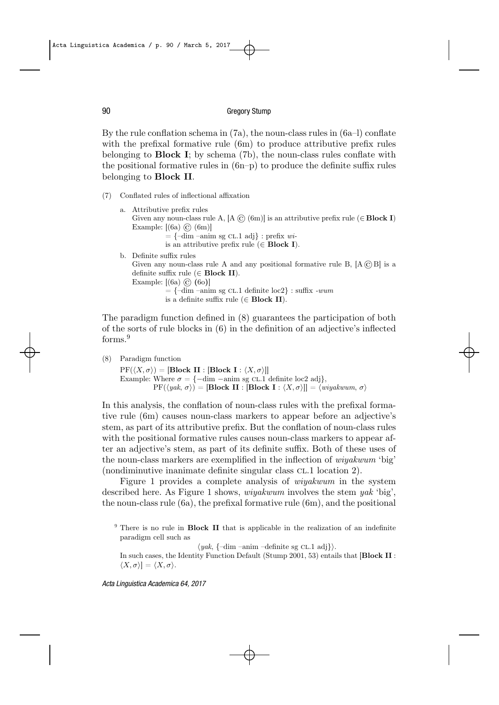By the rule conflation schema in  $(7a)$ , the noun-class rules in  $(6a-1)$  conflate with the prefixal formative rule (6m) to produce attributive prefix rules belonging to **Block I**; by schema (7b), the noun-class rules conflate with the positional formative rules in  $(6n-p)$  to produce the definite suffix rules belonging to **Block II**.

(7) Conflated rules of inflectional affixation

a. Attributive prefix rules Given any noun-class rule A,  $[A \odot (6m)]$  is an attributive prefix rule  $(\in \text{Block } I)$ Example:  $[(6a) \odot (6m)]$  $=$   $\{-\dim -\dim \text{sg } CL.1 \text{ adj}\}\$ : prefix *wi*is an attributive prefix rule (*∈* **Block I**). b. Definite suffix rules Given any noun-class rule A and any positional formative rule B,  $[A \odot B]$  is a definite suffix rule (*∈* **Block II**). Example: [(6a) © **(**6o**)**]  $=$   $\{-\dim -\dim \text{sg} \text{CL}.1 \text{ definite } loc2\}$ : suffix *-wum* is a definite suffix rule (*∈* **Block II**).

The paradigm function defined in (8) guarantees the participation of both of the sorts of rule blocks in (6) in the definition of an adjective's inflected forms.<sup>9</sup>

(8) Paradigm function

 $PF(\langle X, \sigma \rangle) = [\text{Block II} : [\text{Block I} : \langle X, \sigma \rangle]$ Example: Where  $\sigma = \{-\dim -\text{anim sg CL.1} \text{ definite loc2 adj}\},\$  $PF(\langle yak, \sigma \rangle) = [\textbf{Block II} : [\textbf{Block I} : \langle X, \sigma \rangle]] = \langle \textit{wiyakwum}, \sigma \rangle$ 

In this analysis, the conflation of noun-class rules with the prefixal formative rule (6m) causes noun-class markers to appear before an adjective's stem, as part of its attributive prefix. But the conflation of noun-class rules with the positional formative rules causes noun-class markers to appear after an adjective's stem, as part of its definite suffix. Both of these uses of the noun-class markers are exemplified in the inflection of *wiyakwum* 'big' (nondiminutive inanimate definite singular class CL.1 location 2).

Figure 1 provides a complete analysis of *wiyakwum* in the system described here. As Figure 1 shows, *wiyakwum* involves the stem *yak* 'big', the noun-class rule (6a), the prefixal formative rule (6m), and the positional

*⟨yak*, *{*–dim –anim –definite sg CL.1 adj*}⟩*.

In such cases, the Identity Function Default (Stump 2001, 53) entails that [**Block II** : *⟨X, σ⟩*] = *⟨X, σ⟩*.

*Acta Linguistica Academica 64, 2017*

<sup>&</sup>lt;sup>9</sup> There is no rule in **Block II** that is applicable in the realization of an indefinite paradigm cell such as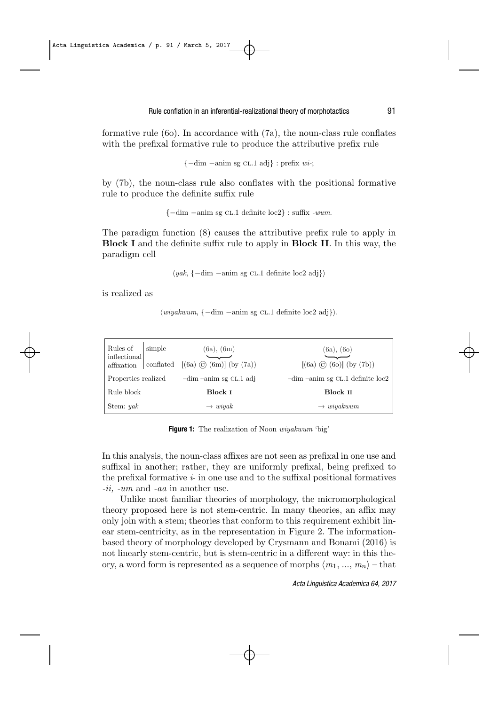formative rule  $(60)$ . In accordance with  $(7a)$ , the noun-class rule conflates with the prefixal formative rule to produce the attributive prefix rule

```
{−dim −anim sg CL.1 adj} : prefix wi-;
```
by (7b), the noun-class rule also conflates with the positional formative rule to produce the definite suffix rule

```
{−dim −anim sg CL.1 definite loc2} : suffix -wum.
```
The paradigm function (8) causes the attributive prefix rule to apply in **Block I** and the definite suffix rule to apply in **Block II**. In this way, the paradigm cell

*⟨yak*, *{−*dim *−*anim sg CL.1 definite loc2 adj*}⟩*

is realized as

*⟨wiyakwum*, *{−*dim *−*anim sg CL.1 definite loc2 adj*}⟩*.

| Rules of<br>inflectional<br>affixation | simple<br>conflated | (6a), (6m)<br>$[(6a) \odot (6m)] (by (7a))$ | (6a), (6o)<br>$[(6a) \odot (6o)] (by (7b))$ |
|----------------------------------------|---------------------|---------------------------------------------|---------------------------------------------|
| Properties realized                    |                     | $-dim -anim$ sg $CL.1$ adj                  | $-dim$ -anim sg CL.1 definite $loc2$        |
| Rule block                             |                     | Block I                                     | Block II                                    |
| Stem: yak                              |                     | $\rightarrow$ wiyak                         | $\rightarrow$ wiyakwum                      |

**Figure 1:** The realization of Noon *wiyakwum* 'big'

In this analysis, the noun-class affixes are not seen as prefixal in one use and suffixal in another; rather, they are uniformly prefixal, being prefixed to the prefixal formative  $i$ - in one use and to the suffixal positional formatives *-ii, -um* and *-aa* in another use.

Unlike most familiar theories of morphology, the micromorphological theory proposed here is not stem-centric. In many theories, an affix may only join with a stem; theories that conform to this requirement exhibit linear stem-centricity, as in the representation in Figure 2. The informationbased theory of morphology developed by Crysmann and Bonami (2016) is not linearly stem-centric, but is stem-centric in a different way: in this theory, a word form is represented as a sequence of morphs  $\langle m_1, ..., m_n \rangle$  – that

*Acta Linguistica Academica 64, 2017*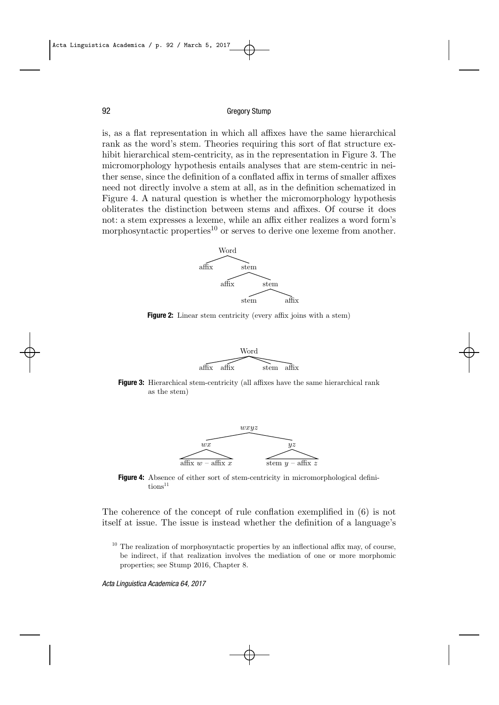92 Gregory Stump

is, as a flat representation in which all affixes have the same hierarchical rank as the word's stem. Theories requiring this sort of flat structure exhibit hierarchical stem-centricity, as in the representation in Figure 3. The micromorphology hypothesis entails analyses that are stem-centric in neither sense, since the definition of a conflated affix in terms of smaller affixes need not directly involve a stem at all, as in the definition schematized in Figure 4. A natural question is whether the micromorphology hypothesis obliterates the distinction between stems and affixes. Of course it does not: a stem expresses a lexeme, while an affix either realizes a word form's morphosyntactic properties<sup>10</sup> or serves to derive one lexeme from another.



**Figure 2:** Linear stem centricity (every affix joins with a stem)



**Figure 3:** Hierarchical stem-centricity (all affixes have the same hierarchical rank as the stem)



**Figure 4:** Absence of either sort of stem-centricity in micromorphological defini $tions<sup>11</sup>$ 

The coherence of the concept of rule conflation exemplified in (6) is not itself at issue. The issue is instead whether the definition of a language's

 $10$  The realization of morphosyntactic properties by an inflectional affix may, of course, be indirect, if that realization involves the mediation of one or more morphomic properties; see Stump 2016, Chapter 8.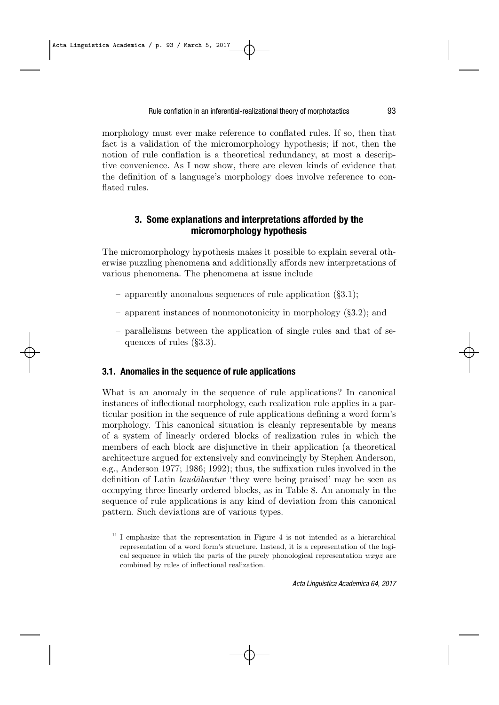morphology must ever make reference to conflated rules. If so, then that fact is a validation of the micromorphology hypothesis; if not, then the notion of rule conflation is a theoretical redundancy, at most a descriptive convenience. As I now show, there are eleven kinds of evidence that the definition of a language's morphology does involve reference to conflated rules.

## **3. Some explanations and interpretations afforded by the micromorphology hypothesis**

The micromorphology hypothesis makes it possible to explain several otherwise puzzling phenomena and additionally affords new interpretations of various phenomena. The phenomena at issue include

- apparently anomalous sequences of rule application (§3.1);
- apparent instances of nonmonotonicity in morphology (§3.2); and
- parallelisms between the application of single rules and that of sequences of rules (§3.3).

## **3.1. Anomalies in the sequence of rule applications**

What is an anomaly in the sequence of rule applications? In canonical instances of inflectional morphology, each realization rule applies in a particular position in the sequence of rule applications defining a word form's morphology. This canonical situation is cleanly representable by means of a system of linearly ordered blocks of realization rules in which the members of each block are disjunctive in their application (a theoretical architecture argued for extensively and convincingly by Stephen Anderson, e.g., Anderson 1977; 1986; 1992); thus, the suffixation rules involved in the definition of Latin *laudābantur* 'they were being praised' may be seen as occupying three linearly ordered blocks, as in Table 8. An anomaly in the sequence of rule applications is any kind of deviation from this canonical pattern. Such deviations are of various types.

 $11$  I emphasize that the representation in Figure 4 is not intended as a hierarchical representation of a word form's structure. Instead, it is a representation of the logical sequence in which the parts of the purely phonological representation *wxyz* are combined by rules of inflectional realization.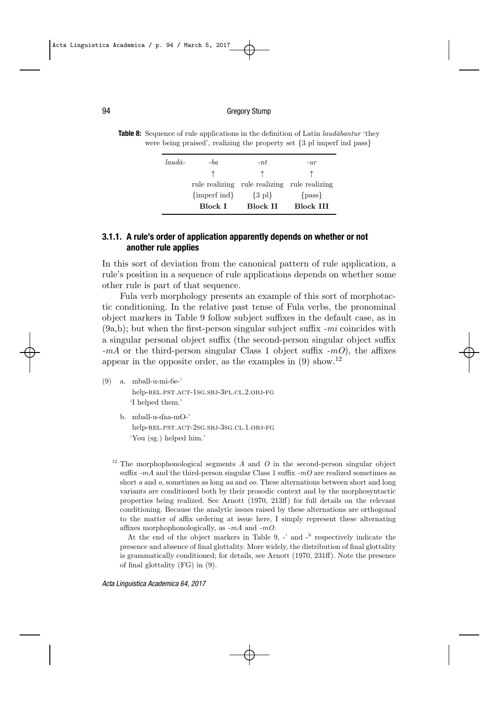**Table 8:** Sequence of rule applications in the definition of Latin *laudābantur* 'they were being praised', realizing the property set *{*3 pl imperf ind pass*}*

| $laud\bar{a}$ - | $-ba$          | $-nt$                                        | $-ur$            |
|-----------------|----------------|----------------------------------------------|------------------|
|                 |                |                                              |                  |
|                 |                | rule realizing rule realizing rule realizing |                  |
|                 | ${imperf~ind}$ | $\{3\text{ pl}\}\$                           | $\{pass\}$       |
|                 | <b>Block I</b> | Block II                                     | <b>Block III</b> |

## **3.1.1. A rule's order of application apparently depends on whether or not another rule applies**

In this sort of deviation from the canonical pattern of rule application, a rule's position in a sequence of rule applications depends on whether some other rule is part of that sequence.

Fula verb morphology presents an example of this sort of morphotactic conditioning. In the relative past tense of Fula verbs, the pronominal object markers in Table 9 follow subject suffixes in the default case, as in (9a,b); but when the first-person singular subject suffix *-mi* coincides with a singular personal object suffix (the second-person singular object suffix *-mA* or the third-person singular Class 1 object suffix *-mO*), the affixes appear in the opposite order, as the examples in  $(9)$  show.<sup>12</sup>

 $(9)$  a. mball-u-mi- $6e^{-}$ 

help-REL.PST.ACT-1SG.SBJ-3PL.CL.2.OBJ-FG 'I helped them.'

b. mball-u-ɗaa-mO-' help-REL.PST.ACT-2SG.SBJ-3SG.CL.1.OBJ-FG 'You (sg.) helped him.'

The morphophonological segments  $A$  and  $O$  in the second-person singular object suffix *-mA* and the third-person singular Class 1 suffix *-mO* are realized sometimes as short *a* and *o*, sometimes as long *aa* and *oo*. These alternations between short and long variants are conditioned both by their prosodic context and by the morphosyntactic properties being realized. See Arnott (1970, 213ff) for full details on the relevant conditioning. Because the analytic issues raised by these alternations are orthogonal to the matter of affix ordering at issue here, I simply represent these alternating affixes morphophonologically, as *-mA* and *-mO*.

At the end of the object markers in Table 9,  $-$  and  $-$ <sup>h</sup> respectively indicate the presence and absence of final glottality. More widely, the distribution of final glottality is grammatically conditioned; for details, see Arnott (1970, 231ff). Note the presence of final glottality (FG) in (9).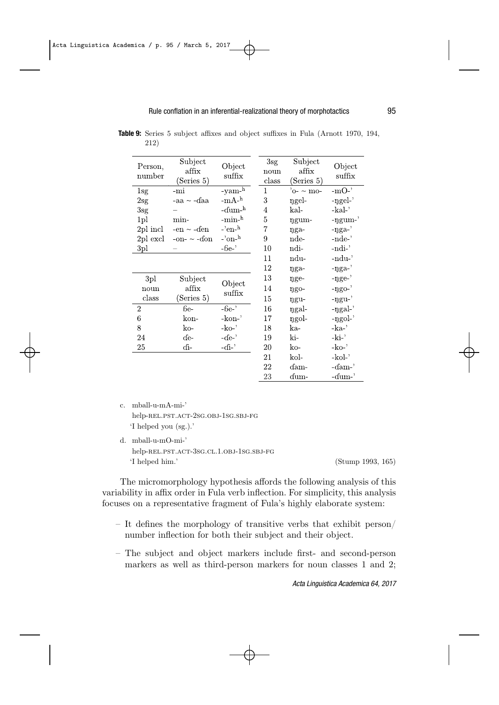| Person,<br>number | Subject<br>affix<br>(Series 5) | Object<br>suffix           | 3sg<br>noun<br>class | Subject<br>affix<br>(Series 5) | Object<br>suffix      |
|-------------------|--------------------------------|----------------------------|----------------------|--------------------------------|-----------------------|
| $1{\rm sg}$       | -mi                            | -yam- $\overline{h}$       | $\mathbf{1}$         | 'o- $\sim$ mo-                 | $-mO-$                |
| 2sg               | -aa $\sim$ -daa                | -mA- $^{\rm h}$            | 3                    | ngel-                          | -ngel-'               |
| 3sg               |                                | -ɗum- <sup>h</sup>         | 4                    | kal-                           | $-kal'$               |
| 1 <sub>pl</sub>   | min-                           | -min- $^{\rm h}$           | 5                    | ngum-                          | -ngum-'               |
| 2pl incl          | $-en \sim$ -den                | $\cdot$ 'en- $\frac{h}{h}$ | $\overline{7}$       | nga-                           | $-{\eta}$ ga-'        |
| 2pl excl          | -on- $\sim$ -don               | -'on- $^{\rm h}$           | 9                    | nde-                           | $-nde-$               |
| 3pl               |                                | $-6e-$                     | 10                   | ndi-                           | -ndi-'                |
|                   |                                |                            | 11                   | ndu-                           | -ndu-'                |
|                   |                                |                            | 12                   | nga-                           | $-nga-$               |
| 3pl               | Subject                        |                            | 13                   | nge-                           | $-{\rm \eta ge-}'$    |
| noun              | affix                          | Object<br>suffix           | 14                   | ŋgo-                           | - $\n  1$             |
| class             | (Series 5)                     |                            | 15                   | ŋgu-                           | $-{\rm \eta gu^{-}}'$ |
| $\boldsymbol{2}$  | ßе-                            | $-6e-$                     | 16                   | ngal-                          | -ngal-'               |
| 6                 | kon-                           | -kon-'                     | 17                   | ngol-                          | -ngol-'               |
| 8                 | ko-                            | $-ko-$                     | 18                   | ka-                            | $-ka-$                |
| 24                | $de-$                          | $-de^-$                    | 19                   | ki-                            | $-ki-$                |
| 25                | ďi-                            | $-di-$                     | 20                   | ko-                            | $-ko-$                |
|                   |                                |                            | 21                   | kol-                           | $-kol-$               |
|                   |                                |                            | $22\,$               | $\dim$ -                       | $-dam-$               |
|                   |                                |                            | 23                   | dum-                           | -dum-'                |

**Table 9:** Series 5 subject affixes and object suffixes in Fula (Arnott 1970, 194, 212)

- c. mball-u-mA-mi-' help-REL.PST.ACT-2SG.OBJ-1SG.SBJ-FG 'I helped you (sg.).'
- d. mball-u-mO-mi-' help-REL.PST.ACT-3SG.CL.1.OBJ-1SG.SBJ-FG 'I helped him.' (Stump 1993, 165)

The micromorphology hypothesis affords the following analysis of this variability in affix order in Fula verb inflection. For simplicity, this analysis focuses on a representative fragment of Fula's highly elaborate system:

- It defines the morphology of transitive verbs that exhibit person/ number inflection for both their subject and their object.
- The subject and object markers include first- and second-person markers as well as third-person markers for noun classes 1 and 2;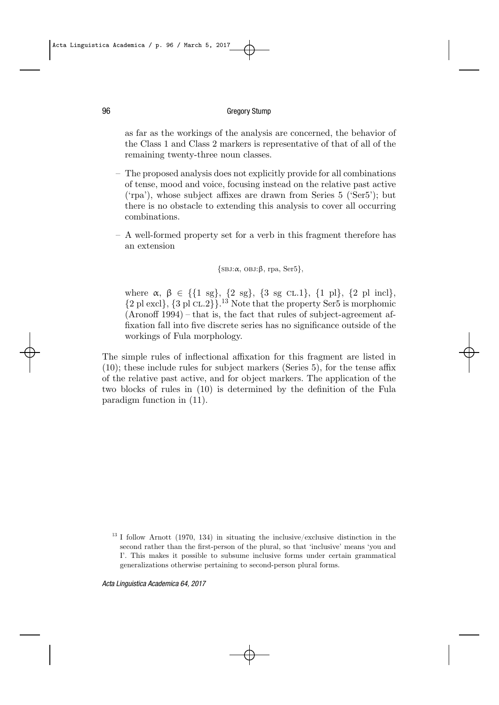#### 96 Gregory Stump

as far as the workings of the analysis are concerned, the behavior of the Class 1 and Class 2 markers is representative of that of all of the remaining twenty-three noun classes.

- The proposed analysis does not explicitly provide for all combinations of tense, mood and voice, focusing instead on the relative past active ('rpa'), whose subject affixes are drawn from Series 5 ('Ser5'); but there is no obstacle to extending this analysis to cover all occurring combinations.
- A well-formed property set for a verb in this fragment therefore has an extension

```
{SBJ:α, OBJ:β, rpa, Ser5},
```
where α, β *∈ {{*1 sg*}*, *{*2 sg*}*, *{*3 sg CL.1*}*, *{*1 pl*}*, *{*2 pl incl*}*, *{*2 pl excl*}*, *{*3 pl CL.2*}}*. <sup>13</sup> Note that the property Ser5 is morphomic (Aronoff 1994) – that is, the fact that rules of subject-agreement affixation fall into five discrete series has no significance outside of the workings of Fula morphology.

The simple rules of inflectional affixation for this fragment are listed in (10); these include rules for subject markers (Series 5), for the tense affix of the relative past active, and for object markers. The application of the two blocks of rules in (10) is determined by the definition of the Fula paradigm function in (11).

<sup>&</sup>lt;sup>13</sup> I follow Arnott (1970, 134) in situating the inclusive/exclusive distinction in the second rather than the first-person of the plural, so that 'inclusive' means 'you and I'. This makes it possible to subsume inclusive forms under certain grammatical generalizations otherwise pertaining to second-person plural forms.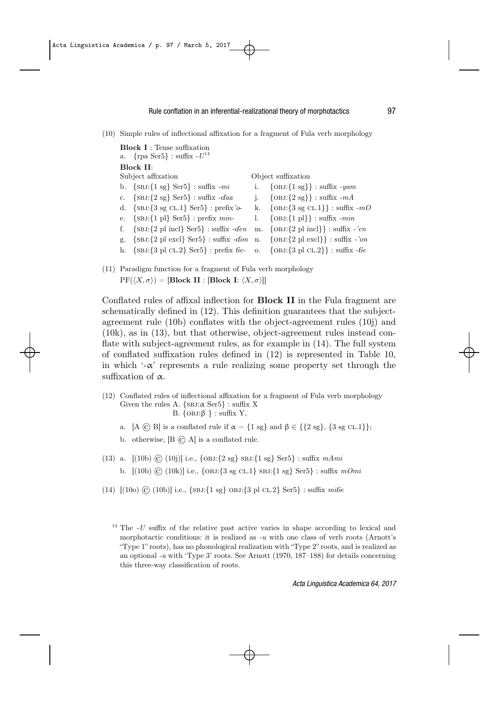(10) Simple rules of inflectional affixation for a fragment of Fula verb morphology

|    | <b>Block I</b> : Tense suffixation                                                                              |    |                                                     |
|----|-----------------------------------------------------------------------------------------------------------------|----|-----------------------------------------------------|
|    | a. $\{ \text{rpa Ser5} \}$ : suffix $-U^{14}$                                                                   |    |                                                     |
|    | <b>Block II:</b>                                                                                                |    |                                                     |
|    | Subject affixation                                                                                              |    | Object suffixation                                  |
|    | b. $\{SBJ:\{1 sg\} Ser5\}$ : suffix -mi                                                                         | i. | $\{OBJ:\{1 sg\}\}\;$ : suffix -yam                  |
|    | c. $\{SBJ:\{2 sg\} Ser5\}$ : suffix - <i>daa</i>                                                                |    | $\{OBJ:\{2 sg\}\}\;:\; \text{suffix -} \textit{mA}$ |
|    | d. $\{SBJ:\{3 \text{ sg } CL.1\} \text{ Ser5}\}$ : prefix'o-                                                    |    | k. $\{OBJ:\{3 \text{ sg } CL.1\}\}\$ : suffix -mC   |
|    | e. $\{SBJ:\{1\text{ pl}\}\text{ Ser5}\}$ : prefix min-                                                          |    | 1. $\{OBJ:\{1\text{ pl}\}\}\$ : suffix -min         |
| f. | $\{SBJ:\{2\text{ pl incl}\}\$ Ser5 $\}$ : suffix - <i>den</i>                                                   |    | m. $\{OBJ:\{2\text{ pl incl}\}\}\$ : suffix - 'en   |
|    | g. $\{SBJ:\{2\text{ pl excl}\}\$ : suffix -don n. $\{OBJ:\{2\text{ pl excl}\}\}\$ : suffix -'on                 |    |                                                     |
|    | h. $\{SBI:\{3\text{ pl CL.2}\} \text{ Ser5}\}$ : prefix $6e$ - o. $\{OBI:\{3\text{ pl CL.2}\}\}$ : suffix $-6e$ |    |                                                     |
|    |                                                                                                                 |    |                                                     |

(11) Paradigm function for a fragment of Fula verb morphology  $PF(\langle X, \sigma \rangle) = [\textbf{Block II} : [\textbf{Block I}: \langle X, \sigma \rangle]$ 

Conflated rules of affixal inflection for **Block II** in the Fula fragment are schematically defined in (12). This definition guarantees that the subjectagreement rule (10b) conflates with the object-agreement rules (10j) and (10k), as in (13), but that otherwise, object-agreement rules instead conflate with subject-agreement rules, as for example in (14). The full system of conflated suffixation rules defined in (12) is represented in Table 10, in which  $-\alpha$  represents a rule realizing some property set through the suffixation of  $\alpha$ .

- (12) Conflated rules of inflectional affixation for a fragment of Fula verb morphology Given the rules A. *{*SBJ:α Ser5*}* : suffix X B. *{*OBJ:β *}* : suffix Y,
	- a. [A  $\odot$  B] is a conflated rule if  $\alpha = \{1 \text{ sg}\}\$  and  $\beta \in \{\{2 \text{ sg}\}\$ ,  $\{3 \text{ sg } \text{ CL.1}\}\$ ;
	- b. otherwise,  $[B \odot A]$  is a conflated rule.
- $(13)$  a.  $[(10b) \odot (10j)]$  i.e.,  $\{OBJ: \{2 sg\} SBI: \{1 sg\} Ser5\}$  : suffix  $mAmi$ b. [(10b) © (10k)] i.e., *{*OBJ:*{*3 sg CL.1*}* SBJ:*{*1 sg*}* Ser5*}* : suffix *mOmi*
- (14) [(10o) © (10b)] i.e., *{*SBJ:*{*1 sg*}* OBJ:*{*3 pl CL.2*}* Ser5*}* : suffix *mi*á*e*

<sup>14</sup> The *-U* suffix of the relative past active varies in shape according to lexical and morphotactic conditions: it is realized as *-u* with one class of verb roots (Arnott's "Type 1" roots), has no phonological realization with "Type 2" roots, and is realized as an optional *-u* with 'Type 3' roots. See Arnott (1970, 187–188) for details concerning this three-way classification of roots.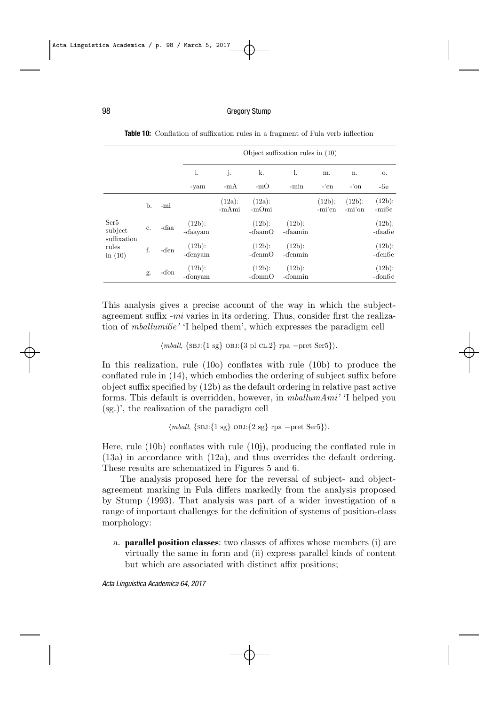#### 98 Gregory Stump

|                                   |    |         |                      | Object suffixation rules in $(10)$ |                           |                      |                  |                     |                                 |  |
|-----------------------------------|----|---------|----------------------|------------------------------------|---------------------------|----------------------|------------------|---------------------|---------------------------------|--|
|                                   |    |         | i.                   | j.                                 | k.                        | 1.                   | m.               | n.                  | Ο.                              |  |
|                                   |    |         | -yam                 | -mA                                | $-mO$                     | -min                 | $-\mathrm{en}$   | $\sim$ on           | -6e                             |  |
|                                   | b. | -mi     |                      | $(12a)$ :<br>-mAmi                 | (12a):<br>-mOmi           |                      | (12b):<br>-mi'en | $(12b)$ :<br>-mi'on | $(12b)$ :<br>-mi <sub>be</sub>  |  |
| Ser <sub>5</sub><br>subject       | c. | -ɗaa    | $(12b)$ :<br>-daayam |                                    | $(12b)$ :<br>$-daamO$     | $(12b)$ :<br>-daamin |                  |                     | $(12b)$ :<br>-daabe             |  |
| suffixation<br>rules<br>in $(10)$ | f. | $-$ den | $(12b)$ :<br>-denyam |                                    | $(12b)$ :<br>$-$ denm $O$ | (12b):<br>-denmin    |                  |                     | $(12b)$ :<br>-den <sub>be</sub> |  |
|                                   | g. | -don    | (12b):<br>-donyam    |                                    | $(12b)$ :<br>-donmO       | (12b):<br>-donmin    |                  |                     | (12b):<br>-don <sub>b</sub> e   |  |

**Table 10:** Conflation of suffixation rules in a fragment of Fula verb inflection

This analysis gives a precise account of the way in which the subjectagreement suffix *-mi* varies in its ordering. Thus, consider first the realization of *mballumi*á*e'* 'I helped them', which expresses the paradigm cell

*⟨mball*, *{*SBJ:*{*1 sg*}* OBJ:*{*3 pl CL.2*}* rpa *−*pret Ser5*}⟩*.

In this realization, rule (10o) conflates with rule (10b) to produce the conflated rule in (14), which embodies the ordering of subject suffix before object suffix specified by (12b) as the default ordering in relative past active forms. This default is overridden, however, in *mballumAmi'* 'I helped you (sg.)', the realization of the paradigm cell

$$
\langle mball, \{SBJ: \{1 sg\} OBJ: \{2 sg\} rpa -pret Ser5\} \rangle.
$$

Here, rule (10b) conflates with rule (10j), producing the conflated rule in (13a) in accordance with (12a), and thus overrides the default ordering. These results are schematized in Figures 5 and 6.

The analysis proposed here for the reversal of subject- and objectagreement marking in Fula differs markedly from the analysis proposed by Stump (1993). That analysis was part of a wider investigation of a range of important challenges for the definition of systems of position-class morphology:

a. **parallel position classes**: two classes of affixes whose members (i) are virtually the same in form and (ii) express parallel kinds of content but which are associated with distinct affix positions;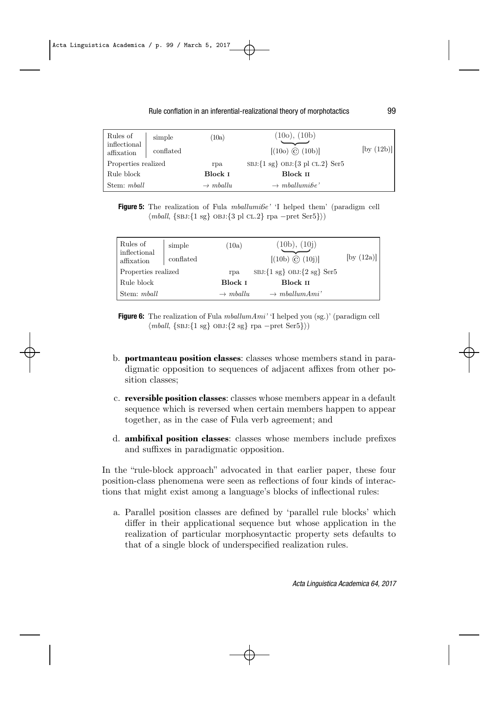#### Rule conflation in an inferential-realizational theory of morphotactics 99

| Rules of<br>inflectional<br>affixation | simple<br>conflated | (10a)                | (10o), (10b)<br>$[(100) \circ (10b)]$   | $[$ by $(12b)]$ |
|----------------------------------------|---------------------|----------------------|-----------------------------------------|-----------------|
| Properties realized                    |                     | rpa                  | $SBJ:\{1 sg\}$ OBJ: $\{3 pl$ CL.2} Ser5 |                 |
| Rule block                             |                     | Block I              | Block II                                |                 |
| Stem: <i>mball</i>                     |                     | $\rightarrow mballu$ | $\rightarrow$ mballumibe'               |                 |

**Figure 5:** The realization of Fula *mballumifie'* 'I helped them' (paradigm cell *⟨mball*, *{*SBJ:*{*1 sg*}* OBJ:*{*3 pl CL.2*}* rpa *−*pret Ser5*}⟩*)

| Rules of<br>inflectional<br>affixation | simple<br>conflated | (10a)                | (10b), (10j)<br>$[(10b) \odot (10i)]$                  | [by $(12a)$ ] |
|----------------------------------------|---------------------|----------------------|--------------------------------------------------------|---------------|
| Properties realized                    |                     | rpa                  | SBJ: $\{1 \text{ sg}\}\$ OBJ: $\{2 \text{ sg}\}\$ Ser5 |               |
| Rule block                             |                     | Block I              | Block II                                               |               |
| Stem: <i>mball</i>                     |                     | $\rightarrow mballu$ | $\rightarrow$ mballumAmi'                              |               |

**Figure 6:** The realization of Fula *mballumAmi'* 'I helped you (sg.)' (paradigm cell *⟨mball*, *{*SBJ:*{*1 sg*}* OBJ:*{*2 sg*}* rpa *−*pret Ser5*}⟩*)

- b. **portmanteau position classes**: classes whose members stand in paradigmatic opposition to sequences of adjacent affixes from other position classes;
- c. **reversible position classes**: classes whose members appear in a default sequence which is reversed when certain members happen to appear together, as in the case of Fula verb agreement; and
- d. **ambifixal position classes**: classes whose members include prefixes and suffixes in paradigmatic opposition.

In the "rule-block approach" advocated in that earlier paper, these four position-class phenomena were seen as reflections of four kinds of interactions that might exist among a language's blocks of inflectional rules:

a. Parallel position classes are defined by 'parallel rule blocks' which differ in their applicational sequence but whose application in the realization of particular morphosyntactic property sets defaults to that of a single block of underspecified realization rules.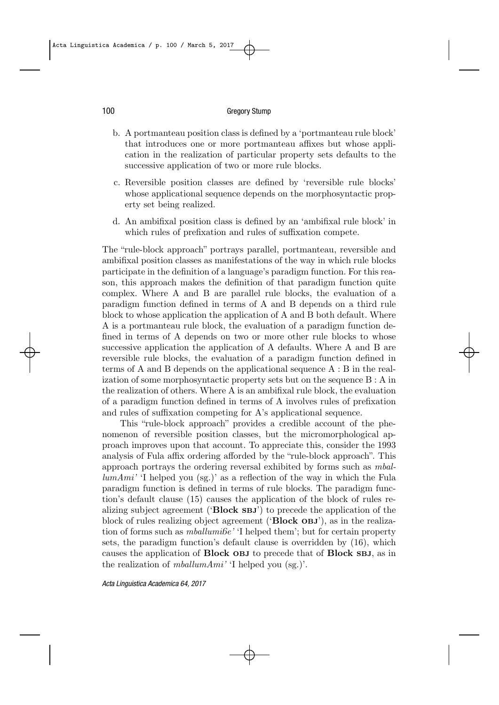#### 100 Gregory Stump

- b. A portmanteau position class is defined by a 'portmanteau rule block' that introduces one or more portmanteau affixes but whose application in the realization of particular property sets defaults to the successive application of two or more rule blocks.
- c. Reversible position classes are defined by 'reversible rule blocks' whose applicational sequence depends on the morphosyntactic property set being realized.
- d. An ambifixal position class is defined by an 'ambifixal rule block' in which rules of prefixation and rules of suffixation compete.

The "rule-block approach" portrays parallel, portmanteau, reversible and ambifixal position classes as manifestations of the way in which rule blocks participate in the definition of a language's paradigm function. For this reason, this approach makes the definition of that paradigm function quite complex. Where A and B are parallel rule blocks, the evaluation of a paradigm function defined in terms of A and B depends on a third rule block to whose application the application of A and B both default. Where A is a portmanteau rule block, the evaluation of a paradigm function defined in terms of A depends on two or more other rule blocks to whose successive application the application of A defaults. Where A and B are reversible rule blocks, the evaluation of a paradigm function defined in terms of A and B depends on the applicational sequence A : B in the realization of some morphosyntactic property sets but on the sequence B : A in the realization of others. Where A is an ambifixal rule block, the evaluation of a paradigm function defined in terms of A involves rules of prefixation and rules of suffixation competing for A's applicational sequence.

This "rule-block approach" provides a credible account of the phenomenon of reversible position classes, but the micromorphological approach improves upon that account. To appreciate this, consider the 1993 analysis of Fula affix ordering afforded by the "rule-block approach". This approach portrays the ordering reversal exhibited by forms such as *mballumAmi'* 'I helped you (sg.)' as a reflection of the way in which the Fula paradigm function is defined in terms of rule blocks. The paradigm function's default clause (15) causes the application of the block of rules realizing subject agreement ('**Block SBJ**') to precede the application of the block of rules realizing object agreement ('**Block OBJ**'), as in the realization of forms such as *mballumi*á*e'* 'I helped them'; but for certain property sets, the paradigm function's default clause is overridden by (16), which causes the application of **Block OBJ** to precede that of **Block SBJ**, as in the realization of *mballumAmi'* 'I helped you (sg.)'.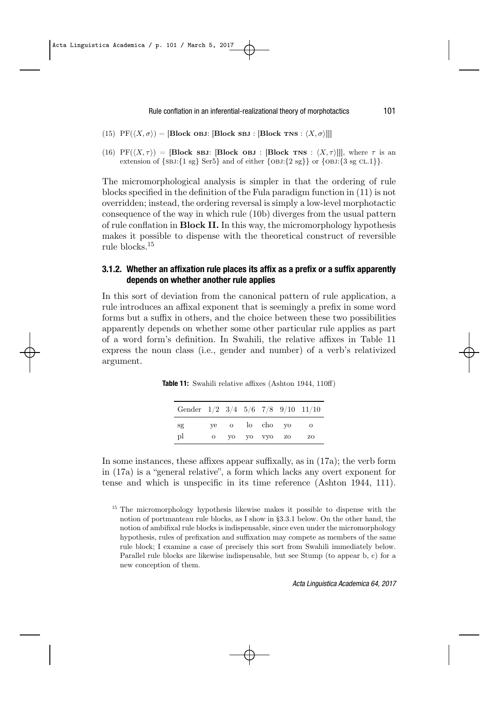- (15)  $PF(\langle X, \sigma \rangle) = [\text{Block OBJ}: [\text{Block SBJ}: [\text{Block TNS}: \langle X, \sigma \rangle]]]$
- $(16)$  PF $(\langle X, \tau \rangle)$  = [**Block SBJ**: [**Block OBJ** : [**Block TNS** :  $(\langle X, \tau \rangle)$ ]], where  $\tau$  is an extension of *{*SBJ:*{*1 sg*}* Ser5*}* and of either *{*OBJ:*{*2 sg*}}* or *{*OBJ:*{*3 sg CL.1*}}*.

The micromorphological analysis is simpler in that the ordering of rule blocks specified in the definition of the Fula paradigm function in (11) is not overridden; instead, the ordering reversal is simply a low-level morphotactic consequence of the way in which rule (10b) diverges from the usual pattern of rule conflation in **Block II.** In this way, the micromorphology hypothesis makes it possible to dispense with the theoretical construct of reversible rule blocks.<sup>15</sup>

## **3.1.2. Whether an affixation rule places its affix as a prefix or a suffix apparently depends on whether another rule applies**

In this sort of deviation from the canonical pattern of rule application, a rule introduces an affixal exponent that is seemingly a prefix in some word forms but a suffix in others, and the choice between these two possibilities apparently depends on whether some other particular rule applies as part of a word form's definition. In Swahili, the relative affixes in Table 11 express the noun class (i.e., gender and number) of a verb's relativized argument.

**Table 11:** Swahili relative affixes (Ashton 1944, 110ff)

| Gender $1/2$ $3/4$ $5/6$ $7/8$ $9/10$ $11/10$ |          |  |                |    |
|-----------------------------------------------|----------|--|----------------|----|
| sg                                            |          |  | ye o lo cho yo | Ω  |
| pl                                            | $\Omega$ |  | vo vo vvo zo   | ZO |

In some instances, these affixes appear suffixally, as in (17a); the verb form in (17a) is a "general relative", a form which lacks any overt exponent for tense and which is unspecific in its time reference (Ashton 1944, 111).

<sup>&</sup>lt;sup>15</sup> The micromorphology hypothesis likewise makes it possible to dispense with the notion of portmanteau rule blocks, as I show in §3.3.1 below. On the other hand, the notion of ambifixal rule blocks is indispensable, since even under the micromorphology hypothesis, rules of prefixation and suffixation may compete as members of the same rule block; I examine a case of precisely this sort from Swahili immediately below. Parallel rule blocks are likewise indispensable, but see Stump (to appear b, c) for a new conception of them.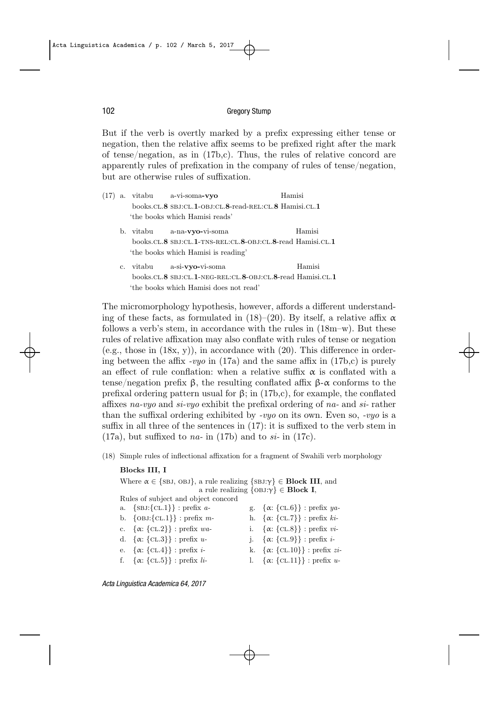#### 102 Gregory Stump

But if the verb is overtly marked by a prefix expressing either tense or negation, then the relative affix seems to be prefixed right after the mark of tense/negation, as in  $(17b,c)$ . Thus, the rules of relative concord are apparently rules of prefixation in the company of rules of tense/negation, but are otherwise rules of suffixation.

|  | $(17)$ a. vitabu a-vi-soma-vyo                             | Hamisi |
|--|------------------------------------------------------------|--------|
|  | books.CL.8 SBJ:CL.1-OBJ:CL.8-read-REL:CL.8 Hamisi.CL.1     |        |
|  | 'the books which Hamisi reads'                             |        |
|  | b. vitabu a-na-vyo-vi-soma                                 | Hamisi |
|  | books.CL.8 SBJ:CL.1-TNS-REL:CL.8-OBJ:CL.8-read Hamisi.CL.1 |        |
|  | 'the books which Hamisi is reading'                        |        |
|  | c. vitabu a-si-vyo-vi-soma                                 | Hamisi |
|  | books.CL.8 SBJ:CL.1-NEG-REL:CL.8-OBJ:CL.8-read Hamisi.CL.1 |        |
|  | 'the books which Hamisi does not read'                     |        |

The micromorphology hypothesis, however, affords a different understanding of these facts, as formulated in (18)–(20). By itself, a relative affix  $\alpha$ follows a verb's stem, in accordance with the rules in (18m–w). But these rules of relative affixation may also conflate with rules of tense or negation  $(e.g., those in (18x, y)),$  in accordance with  $(20)$ . This difference in ordering between the affix *-vyo* in (17a) and the same affix in (17b,c) is purely an effect of rule conflation: when a relative suffix  $\alpha$  is conflated with a tense/negation prefix β, the resulting conflated affix β-α conforms to the prefixal ordering pattern usual for  $\beta$ ; in (17b,c), for example, the conflated affixes *na-vyo* and *si-vyo* exhibit the prefixal ordering of *na-* and *si-* rather than the suffixal ordering exhibited by *-vyo* on its own. Even so, *-vyo* is a suffix in all three of the sentences in (17): it is suffixed to the verb stem in (17a), but suffixed to *na-* in (17b) and to *si-* in (17c).

(18) Simple rules of inflectional affixation for a fragment of Swahili verb morphology

#### **Blocks III, I**

Where  $\alpha \in \{\text{SBJ}, \text{OBJ}\}\$ , a rule realizing  $\{\text{SBJ:}\gamma\} \in \text{Block III}$ , and a rule realizing *{*OBJ:γ*} ∈* **Block I**, Rules of subject and object concord a. *{*SBJ:*{*CL.1*}}* : prefix *a-* g. *{*α: *{*CL.6*}}* : prefix *ya*b. *{*OBJ:*{*CL.1*}}* : prefix *m-* h. *{*α: *{*CL.7*}}* : prefix *ki*c. *{*α: *{*CL.2*}}* : prefix *wa-* i. *{*α: *{*CL.8*}}* : prefix *vi*d. *{*α: *{*CL.3*}}* : prefix *u-* j. *{*α: *{*CL.9*}}* : prefix *i*e. *{*α: *{*CL.4*}}* : prefix *i-* k. *{*α: *{*CL.10*}}* : prefix *zi*f. *{*α: *{*CL.5*}}* : prefix *li-* l. *{*α: *{*CL.11*}}* : prefix *u-*

*Acta Linguistica Academica 64, 2017*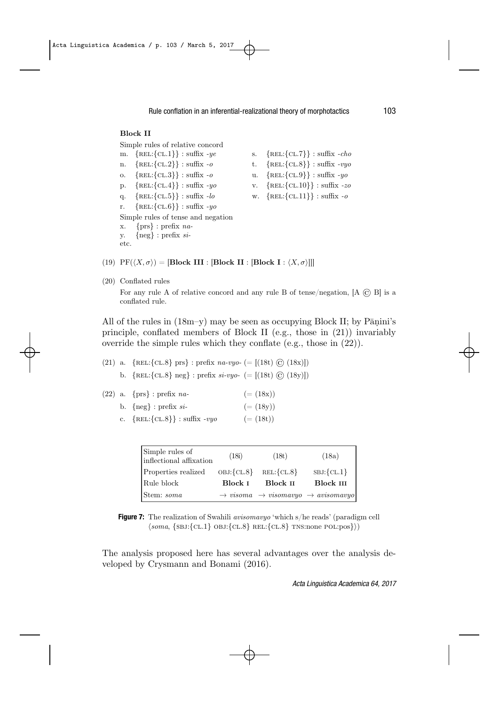#### **Block II**

Simple rules of relative concord

- n. *{*REL:*{*CL.2*}}* : suffix *-o* t. *{*REL:*{*CL.8*}}* : suffix *-vyo* o. *{*REL:*{*CL.3*}}* : suffix *-o* u. *{*REL:*{*CL.9*}}* : suffix *-yo* p. *{*REL:*{*CL.4*}}* : suffix *-yo* v. *{*REL:*{*CL.10*}}* : suffix *-zo* q. *{*REL:*{*CL.5*}}* : suffix *-lo* w. *{*REL:*{*CL.11*}}* : suffix *-o* r. *{*REL:*{*CL.6*}}* : suffix *-yo* Simple rules of tense and negation x. *{*prs*}* : prefix *na-*
- y. *{*neg*}* : prefix *si*etc.

```
m. {REL:{CL.1}} : suffix -ye s. {REL:{CL.7}} : suffix -cho
```
- 
- 
- 
- 
- (19)  $PF(\langle X, \sigma \rangle) = [\text{Block III} : [\text{Block II} : [\text{Block I} : \langle X, \sigma \rangle]]]$
- (20) Conflated rules

For any rule A of relative concord and any rule B of tense/negation, [A © B] is a conflated rule.

All of the rules in  $(18m-y)$  may be seen as occupying Block II; by Pānini's principle, conflated members of Block II (e.g., those in  $(21)$ ) invariably override the simple rules which they conflate (e.g., those in (22)).

(21) a. *{*REL:*{*CL.8*}* prs*}* : prefix *na-vyo-* (= [(18t) © (18x)]) b.  ${REL: \{CL.8\} \text{ neg}}: \text{prefix } si\text{-}vyo\text{- } (= [(18t) \text{ } @ (18y)]})$ 

- (22) a.  $\{prs\}$ : prefix *na* (= (18x)) b.  $\{neg\}$ : prefix *si*- (= (18y))
	- c.  ${REL: CL.8}$  : suffix *-vyo* (= (18t))
	-

| Simple rules of<br>inflectional affixation | (18i)          | (18t)          | (18a)                                                             |
|--------------------------------------------|----------------|----------------|-------------------------------------------------------------------|
| Properties realized                        | $OBJ:\{CL.8\}$ | $REL:\{CL.8\}$ | $SBJ:\{CL.1\}$                                                    |
| Rule block                                 | Block I        | Block II       | Block III                                                         |
| Stem: soma                                 |                |                | $\rightarrow visoma \rightarrow visomavyo \rightarrow avisomavyo$ |

**Figure 7:** The realization of Swahili *avisomavyo* 'which s/he reads' (paradigm cell *⟨soma*, *{*SBJ:*{*CL.1*}* OBJ:*{*CL.8*}* REL:*{*CL.8*}* TNS:none POL:pos*}⟩*)

The analysis proposed here has several advantages over the analysis developed by Crysmann and Bonami (2016).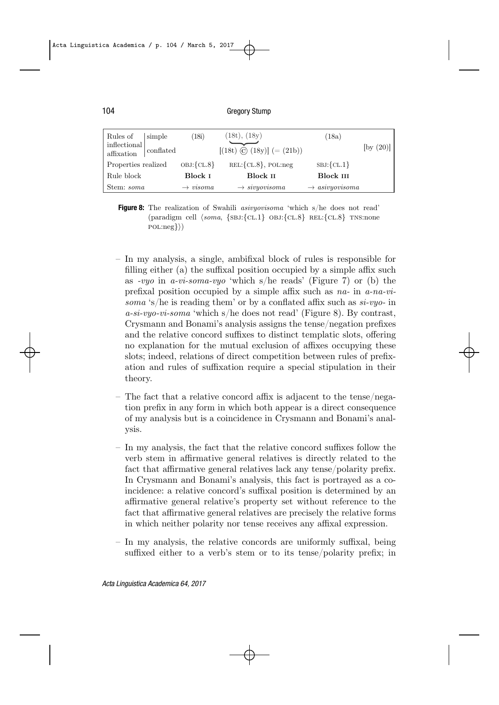104 Gregory Stump

| Rules of<br>inflectional<br>affixation | simple<br>conflated | (18i)                | (18t), (18y)<br>$[(18t) \circ (18y)] (= (21b))$ | (18a)                      | [by $(20)$ ] |
|----------------------------------------|---------------------|----------------------|-------------------------------------------------|----------------------------|--------------|
| Properties realized                    |                     | $OBJ:\{CL.8\}$       | $REL:\{CL.8\}$ , POL:neg                        | $SBJ:\{CL.1\}$             |              |
| Rule block                             |                     | Block I              | Block II                                        | Block III                  |              |
| Stem: soma                             |                     | $\rightarrow visoma$ | $\rightarrow sivyovisoma$                       | $\rightarrow$ asivyovisoma |              |

- **Figure 8:** The realization of Swahili *asivyovisoma* 'which s/he does not read' (paradigm cell *⟨soma*, *{*SBJ:*{*CL.1*}* OBJ:*{*CL.8*}* REL:*{*CL.8*}* TNS:none POL:neg*}⟩*)
- In my analysis, a single, ambifixal block of rules is responsible for filling either (a) the suffixal position occupied by a simple affix such as *-vyo* in *a-vi-soma-vyo* 'which s/he reads' (Figure 7) or (b) the prefixal position occupied by a simple affix such as *na-* in *a-na-visoma* 's/he is reading them' or by a conflated affix such as *si-vyo-* in *a-si-vyo-vi-soma* 'which s/he does not read' (Figure 8). By contrast, Crysmann and Bonami's analysis assigns the tense/negation prefixes and the relative concord suffixes to distinct templatic slots, offering no explanation for the mutual exclusion of affixes occupying these slots; indeed, relations of direct competition between rules of prefixation and rules of suffixation require a special stipulation in their theory.
- The fact that a relative concord affix is adjacent to the tense/negation prefix in any form in which both appear is a direct consequence of my analysis but is a coincidence in Crysmann and Bonami's analysis.
- In my analysis, the fact that the relative concord suffixes follow the verb stem in affirmative general relatives is directly related to the fact that affirmative general relatives lack any tense/polarity prefix. In Crysmann and Bonami's analysis, this fact is portrayed as a coincidence: a relative concord's suffixal position is determined by an affirmative general relative's property set without reference to the fact that affirmative general relatives are precisely the relative forms in which neither polarity nor tense receives any affixal expression.
- In my analysis, the relative concords are uniformly suffixal, being suffixed either to a verb's stem or to its tense/polarity prefix; in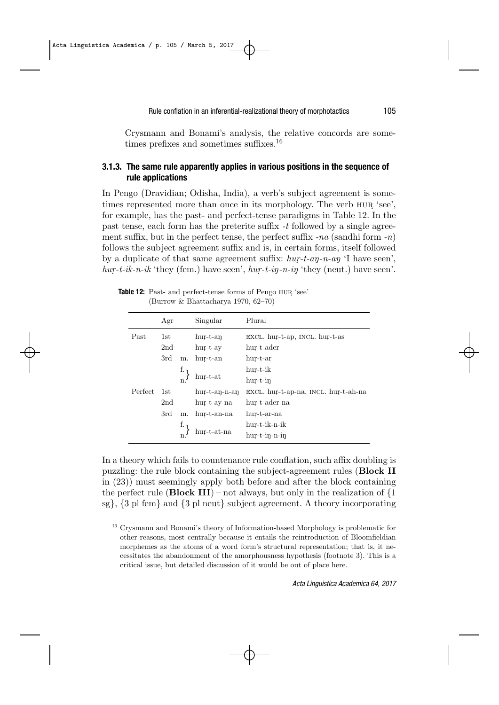Crysmann and Bonami's analysis, the relative concords are sometimes prefixes and sometimes suffixes.<sup>16</sup>

### **3.1.3. The same rule apparently applies in various positions in the sequence of rule applications**

In Pengo (Dravidian; Odisha, India), a verb's subject agreement is sometimes represented more than once in its morphology. The verb HUṚ 'see', for example, has the past- and perfect-tense paradigms in Table 12. In the past tense, each form has the preterite suffix *-t* followed by a single agreement suffix, but in the perfect tense, the perfect suffix *-na* (sandhi form *-n*) follows the subject agreement suffix and is, in certain forms, itself followed by a duplicate of that same agreement suffix: *huṛ-t-aŋ-n-aŋ* 'I have seen', *huṛ-t-ik-n-ik* 'they (fem.) have seen', *huṛ-t-iŋ-n-iŋ* 'they (neut.) have seen'.

|         | Agr |    | Singular             | Plural                               |
|---------|-----|----|----------------------|--------------------------------------|
| Past    | 1st |    | $_{\text{hur-t-an}}$ | EXCL. hur-t-ap, INCL. hur-t-as       |
|         | 2nd |    | $_{\text{hur-t-ay}}$ | hur-t-ader                           |
|         | 3rd | m. | hur-t-an             | hur-t-ar                             |
|         |     |    |                      | hur-t-ik                             |
|         |     |    | $h$ ur-t-at          | $_{\text{hur-t-in}}$                 |
| Perfect | 1st |    | hur-t-an-n-an        | EXCL. hur-t-ap-na, INCL. hur-t-ah-na |
|         | 2nd |    | hur-t-av-na          | hur-t-ader-na                        |
|         | 3rd | m. | hur-t-an-na          | hur-t-ar-na                          |
|         |     |    |                      | hur-t-ik-n-ik                        |
|         |     |    | $h$ ur-t-at-na       | $hur-t-in-n-in$                      |

**Table 12:** Past- and perfect-tense forms of Pengo HUR 'see' (Burrow & Bhattacharya 1970, 62–70)

In a theory which fails to countenance rule conflation, such affix doubling is puzzling: the rule block containing the subject-agreement rules (**Block II** in (23)) must seemingly apply both before and after the block containing the perfect rule (**Block III**) – not always, but only in the realization of *{*1 sg*}*, *{*3 pl fem*}* and *{*3 pl neut*}* subject agreement. A theory incorporating

<sup>16</sup> Crysmann and Bonami's theory of Information-based Morphology is problematic for other reasons, most centrally because it entails the reintroduction of Bloomfieldian morphemes as the atoms of a word form's structural representation; that is, it necessitates the abandonment of the amorphousness hypothesis (footnote 3). This is a critical issue, but detailed discussion of it would be out of place here.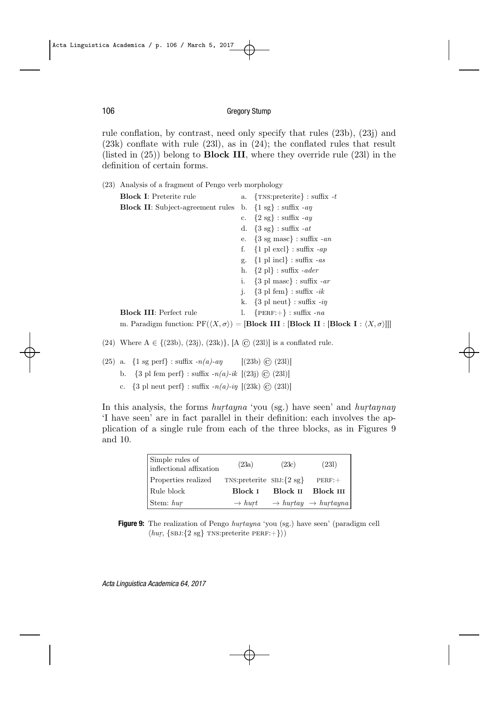rule conflation, by contrast, need only specify that rules (23b), (23j) and (23k) conflate with rule (23l), as in (24); the conflated rules that result (listed in (25)) belong to **Block III**, where they override rule (23l) in the definition of certain forms.

| (23) | Analysis of a fragment of Pengo verb morphology                              |                                                                                                                                               |
|------|------------------------------------------------------------------------------|-----------------------------------------------------------------------------------------------------------------------------------------------|
|      | <b>Block I:</b> Preterite rule                                               | a. $\{TNS:preterite\}$ : suffix -t                                                                                                            |
|      | <b>Block II:</b> Subject-agreement rules b. $\{1 \text{ sg}\}\$ : suffix -an |                                                                                                                                               |
|      |                                                                              | c. $\{2 \text{ sg}\}\$ : suffix -ay                                                                                                           |
|      |                                                                              | d. $\{3 \text{ sg}\}\$ : suffix -at                                                                                                           |
|      |                                                                              | e. $\{3 \text{ sg } \text{masc}\}$ : suffix -an                                                                                               |
|      |                                                                              | f. $\{1\}$ pl excl} : suffix -ap                                                                                                              |
|      |                                                                              | g. $\{1 \text{ pl incl}\}\$ : suffix - as                                                                                                     |
|      |                                                                              | h. $\{2 \text{ pl}\}$ : suffix <i>-ader</i>                                                                                                   |
|      |                                                                              | i. $\{3 \text{ pl } \text{masc}\}$ : suffix -ar                                                                                               |
|      |                                                                              | j. $\{3 \text{ pl fem}\}\;:\; \text{suffix } -ik$                                                                                             |
|      |                                                                              | k. $\{3 \text{ pl neut}\}\$ : suffix -in                                                                                                      |
|      | <b>Block III:</b> Perfect rule                                               | 1. ${PERF:+\} : suffix - na$                                                                                                                  |
|      |                                                                              | m. Paradigm function: $PF(\langle X, \sigma \rangle) = [\text{Block III} : [\text{Block II} : [\text{Block I} : \langle X, \sigma \rangle]]]$ |

- (24) Where  $A \in \{(23b), (23j), (23k)\}\$ ,  $[A \odot (23l)]$  is a conflated rule.
- (25) a.  $\{1 \text{ sg perf}\}\right): \text{suffix } -n(a) a\eta$  [(23b) ⓒ (23l)]
	- b.  $\{3 \text{ pl fem perf}\}$ : suffix *-n(a)-ik*  $[(23j) \text{ } \textcircled{c} \text{ } (23l)]$
	- c. *{*3 pl neut perf*}* : suffix *-n(a)-iŋ* [(23k) © (23l)]

In this analysis, the forms *huṛtayna* 'you (sg.) have seen' and *huṛtaŋnaŋ* 'I have seen' are in fact parallel in their definition: each involves the application of a single rule from each of the three blocks, as in Figures 9 and 10.

| Simple rules of<br>inflectional affixation | (23a)                         | (23c)    | (231)                                                          |
|--------------------------------------------|-------------------------------|----------|----------------------------------------------------------------|
| Properties realized                        | TNS: preterite $SBJ:\{2 sg\}$ |          | $PERF: +$                                                      |
| Rule block                                 | Block L                       | Block 11 | Block III                                                      |
| Stem: hur                                  |                               |          | $\rightarrow$ hurt $\rightarrow$ hurtay $\rightarrow$ hurtayna |

**Figure 9:** The realization of Pengo *huṛtayna* 'you (sg.) have seen' (paradigm cell *⟨huṛ*, *{*SBJ:*{*2 sg*}* TNS:preterite PERF:+*}⟩*)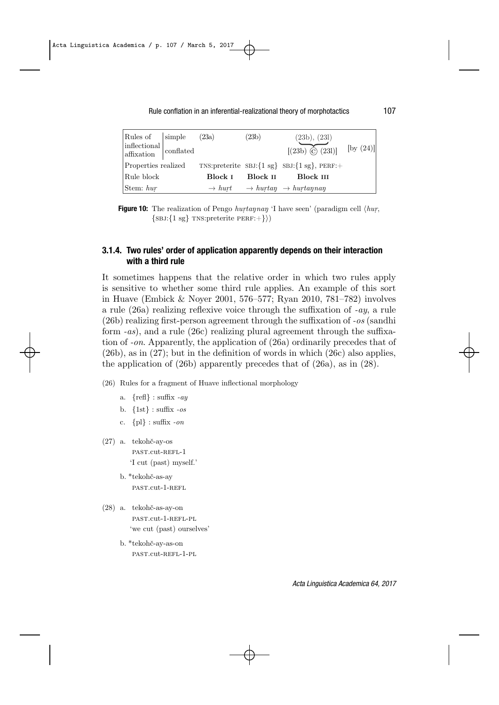Rule conflation in an inferential-realizational theory of morphotactics 107

| Rules of simple<br>$\begin{tabular}{ l l } \hline inflectional & \\ \hline affixation & \\ \hline \end{tabular} \vspace{1em} \begin{tabular}{ l l } \hline \multicolumn{1}{ l }{} \\ \multicolumn{1}{ l }{} \\ \hline \multicolumn{1}{ l }{} \\ \hline \multicolumn{1}{ l }{} \\ \hline \multicolumn{1}{ l }{} \\ \hline \multicolumn{1}{ l }{} \\ \hline \multicolumn{1}{ l }{} \\ \hline \multicolumn{1}{ l }{} \\ \hline \multicolumn{1}{ l }{} \\ \hline \multicolumn{1}{ l }{} \\ \hline \multicolumn$ | (23a)   | (23b) | (23b), (23l)<br>$[(23b) \circ (231)]$                                      | $[$ by $(24)]$ |
|-------------------------------------------------------------------------------------------------------------------------------------------------------------------------------------------------------------------------------------------------------------------------------------------------------------------------------------------------------------------------------------------------------------------------------------------------------------------------------------------------------------|---------|-------|----------------------------------------------------------------------------|----------------|
| Properties realized                                                                                                                                                                                                                                                                                                                                                                                                                                                                                         |         |       | TNS: preterite SBJ: $\{1 \text{ sg}\}\$ SBJ: $\{1 \text{ sg}\}\$ , PERF: + |                |
| Rule block                                                                                                                                                                                                                                                                                                                                                                                                                                                                                                  | Block I |       | Block II Block III                                                         |                |
| Stem: $hur$                                                                                                                                                                                                                                                                                                                                                                                                                                                                                                 |         |       | $\rightarrow$ hurt $\rightarrow$ hurtageneous hurtagnament                 |                |

**Figure 10:** The realization of Pengo *huṛtaŋnaŋ* 'I have seen' (paradigm cell *⟨huṛ*, *{*SBJ:*{*1 sg*}* TNS:preterite PERF:+*}⟩*)

## **3.1.4. Two rules' order of application apparently depends on their interaction with a third rule**

It sometimes happens that the relative order in which two rules apply is sensitive to whether some third rule applies. An example of this sort in Huave (Embick & Noyer 2001, 576–577; Ryan 2010, 781–782) involves a rule (26a) realizing reflexive voice through the suffixation of *-ay*, a rule (26b) realizing first-person agreement through the suffixation of *-os* (sandhi form *-as*), and a rule (26c) realizing plural agreement through the suffixation of *-on*. Apparently, the application of (26a) ordinarily precedes that of (26b), as in (27); but in the definition of words in which (26c) also applies, the application of (26b) apparently precedes that of (26a), as in (28).

- (26) Rules for a fragment of Huave inflectional morphology
	- a. *{*refl*}* : suffix *-ay*
	- b. *{*1st*}* : suffix *-os*
	- c. *{*pl*}* : suffix *-on*
- $(27)$  a. tekohč-ay-os PAST.cut-REFL-1 'I cut (past) myself.'
	- b. \*tekohč-as-ay PAST.cut-1-REFL
- $(28)$  a. tekohč-as-ay-on PAST.cut-1-REFL-PL 'we cut (past) ourselves'
	- b. \*tekohč-ay-as-on PAST.cut-REFL-1-PL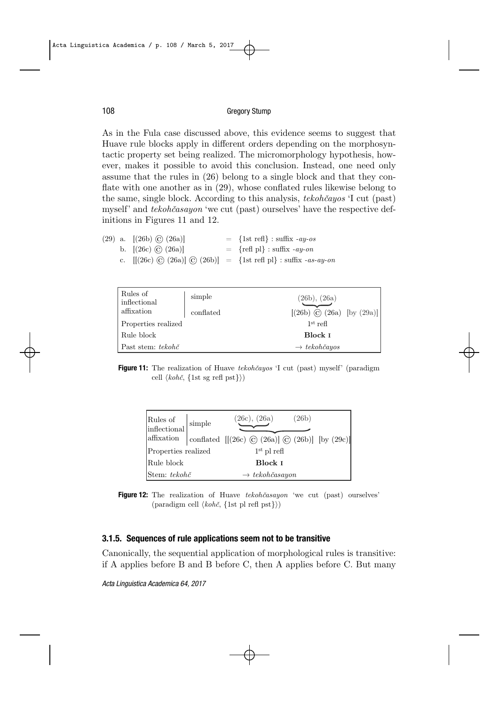As in the Fula case discussed above, this evidence seems to suggest that Huave rule blocks apply in different orders depending on the morphosyntactic property set being realized. The micromorphology hypothesis, however, makes it possible to avoid this conclusion. Instead, one need only assume that the rules in (26) belong to a single block and that they conflate with one another as in (29), whose conflated rules likewise belong to the same, single block. According to this analysis, *tekohčayos* 'I cut (past) myself' and *tekohčasayon* 'we cut (past) ourselves' have the respective definitions in Figures 11 and 12.

|  | $(29)$ a. $[(26b) \odot (26a)]$ | $=$ {1st refl} : suffix -ay-os                                                     |
|--|---------------------------------|------------------------------------------------------------------------------------|
|  | b. $[(26c) \odot (26a)]$        | $=$ {refl pl} : suffix -ay-on                                                      |
|  |                                 | c. $[[(26c) \odot (26a)] \odot (26b)] = {1st \text{ ref } pl} : suffix - as-ay-on$ |

| Rules of<br>inflectional | simple    | (26b), (26a)                        |  |  |  |
|--------------------------|-----------|-------------------------------------|--|--|--|
| affixation               | conflated | $[(26b) \circ (26a) \; [by (29a)]]$ |  |  |  |
| Properties realized      |           | $1st$ refl                          |  |  |  |
| Rule block               |           | Block I                             |  |  |  |
| Past stem: tekohč        |           | $\rightarrow$ tekohčayos            |  |  |  |

**Figure 11:** The realization of Huave *tekohčayos* 'I cut (past) myself' (paradigm cell *⟨kohč*, *{*1st sg refl pst*}⟩*)

| Rules of $\left  \frac{\text{Rules of}}{\text{inflectional}} \right $ simple |  | (26c), (26a)                                               | (26b) |  |
|------------------------------------------------------------------------------|--|------------------------------------------------------------|-------|--|
| affixation                                                                   |  | conflated $[(26c) \odot (26a)] \odot (26b)]$ [by $(29c)$ ] |       |  |
| Properties realized                                                          |  | $1st$ pl refl                                              |       |  |
| Rule block                                                                   |  | Block I                                                    |       |  |
| Stem: $tekoh\check{c}$                                                       |  | $\rightarrow$ tekohčasayon                                 |       |  |

**Figure 12:** The realization of Huave *tekohčasayon* 'we cut (past) ourselves' (paradigm cell *⟨kohč*, *{*1st pl refl pst*}⟩*)

## **3.1.5. Sequences of rule applications seem not to be transitive**

Canonically, the sequential application of morphological rules is transitive: if A applies before B and B before C, then A applies before C. But many

*Acta Linguistica Academica 64, 2017*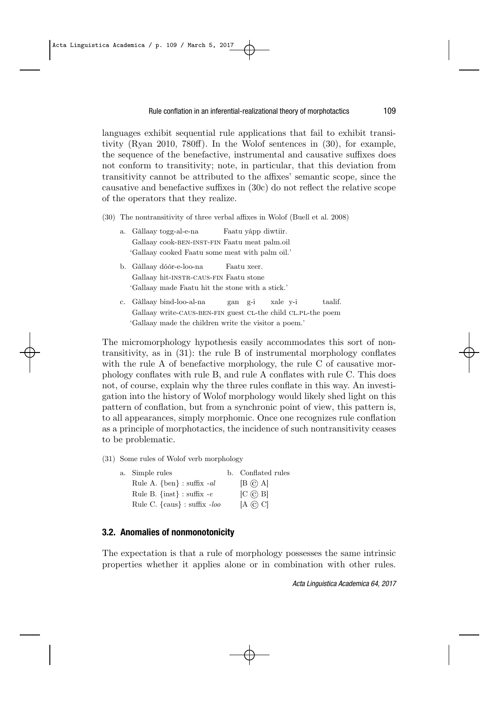languages exhibit sequential rule applications that fail to exhibit transitivity (Ryan 2010, 780ff). In the Wolof sentences in (30), for example, the sequence of the benefactive, instrumental and causative suffixes does not conform to transitivity; note, in particular, that this deviation from transitivity cannot be attributed to the affixes' semantic scope, since the causative and benefactive suffixes in (30c) do not reflect the relative scope of the operators that they realize.

(30) The nontransitivity of three verbal affixes in Wolof (Buell et al. 2008)

- a. Gàllaay togg-al-e-na Faatu yàpp diwtiir. Gallaay cook-BEN-INST-FIN Faatu meat palm.oil 'Gallaay cooked Faatu some meat with palm oil.'
- b. Gàllaay dóór-e-loo-na Faatu xeer. Gallaay hit-INSTR-CAUS-FIN Faatu stone 'Gallaay made Faatu hit the stone with a stick.'
- c. Gàllaay bind-loo-al-na gan g-i xale y-i taalif. Gallaay write-CAUS-BEN-FIN guest CL-the child CL.PL-the poem 'Gallaay made the children write the visitor a poem.'

The micromorphology hypothesis easily accommodates this sort of nontransitivity, as in (31): the rule B of instrumental morphology conflates with the rule A of benefactive morphology, the rule C of causative morphology conflates with rule B, and rule A conflates with rule C. This does not, of course, explain why the three rules conflate in this way. An investigation into the history of Wolof morphology would likely shed light on this pattern of conflation, but from a synchronic point of view, this pattern is, to all appearances, simply morphomic. Once one recognizes rule conflation as a principle of morphotactics, the incidence of such nontransitivity ceases to be problematic.

(31) Some rules of Wolof verb morphology

| a. Simple rules                       | b. Conflated rules |
|---------------------------------------|--------------------|
| Rule A. $\{ben\}$ : suffix <i>-al</i> | $[B \odot A]$      |
| Rule B. $\{inst\}$ : suffix -e        | $[C \odot B]$      |
| Rule C. $\{caus\}$ : suffix $-$ loo   | $[A \odot C]$      |

## **3.2. Anomalies of nonmonotonicity**

The expectation is that a rule of morphology possesses the same intrinsic properties whether it applies alone or in combination with other rules.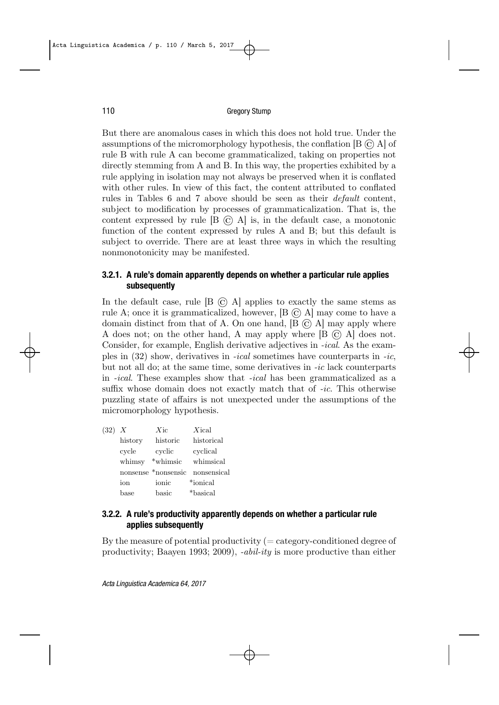But there are anomalous cases in which this does not hold true. Under the assumptions of the micromorphology hypothesis, the conflation  $[B \odot A]$  of rule B with rule A can become grammaticalized, taking on properties not directly stemming from A and B. In this way, the properties exhibited by a rule applying in isolation may not always be preserved when it is conflated with other rules. In view of this fact, the content attributed to conflated rules in Tables 6 and 7 above should be seen as their *default* content, subject to modification by processes of grammaticalization. That is, the content expressed by rule  $[B \odot A]$  is, in the default case, a monotonic function of the content expressed by rules A and B; but this default is subject to override. There are at least three ways in which the resulting nonmonotonicity may be manifested.

## **3.2.1. A rule's domain apparently depends on whether a particular rule applies subsequently**

In the default case, rule  $[B \overline{C}]$  A applies to exactly the same stems as rule A; once it is grammaticalized, however,  $[B \odot A]$  may come to have a domain distinct from that of A. On one hand,  $[B \odot A]$  may apply where A does not; on the other hand, A may apply where [B © A] does not. Consider, for example, English derivative adjectives in *-ical*. As the examples in (32) show, derivatives in *-ical* sometimes have counterparts in *-ic*, but not all do; at the same time, some derivatives in *-ic* lack counterparts in *-ical*. These examples show that *-ical* has been grammaticalized as a suffix whose domain does not exactly match that of *-ic*. This otherwise puzzling state of affairs is not unexpected under the assumptions of the micromorphology hypothesis.

| (32) | X       | $X_{\rm 1C}$   | Xical                           |
|------|---------|----------------|---------------------------------|
|      | history | historic       | historical                      |
|      | cycle   | cyclic         | cyclical                        |
|      | whimsy  | *whimsic       | whimsical                       |
|      |         |                | nonsense *nonsensic nonsensical |
|      | ion     | ionic          | *ionical                        |
|      | base    | $_{\rm basic}$ | *basical                        |

## **3.2.2. A rule's productivity apparently depends on whether a particular rule applies subsequently**

By the measure of potential productivity  $($  = category-conditioned degree of productivity; Baayen 1993; 2009), *-abil-ity* is more productive than either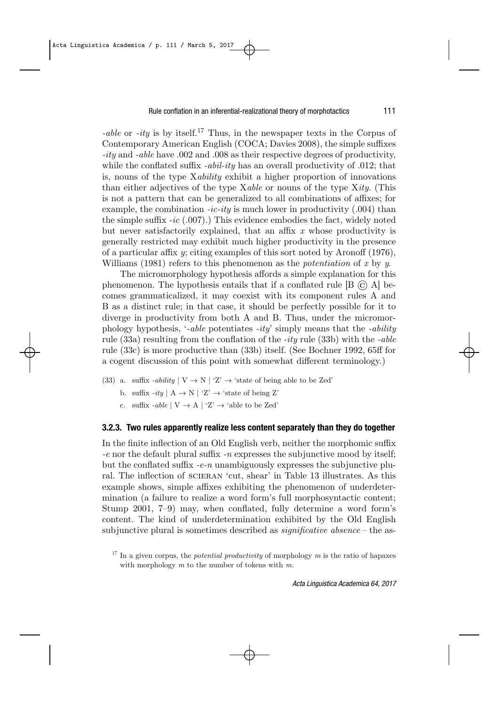*-able* or *-ity* is by itself.<sup>17</sup> Thus, in the newspaper texts in the Corpus of Contemporary American English (COCA; Davies 2008), the simple suffixes *-ity* and *-able* have .002 and .008 as their respective degrees of productivity, while the conflated suffix *-abil-ity* has an overall productivity of .012; that is, nouns of the type X*ability* exhibit a higher proportion of innovations than either adjectives of the type X*able* or nouns of the type X*ity*. (This is not a pattern that can be generalized to all combinations of affixes; for example, the combination  $-ic-ity$  is much lower in productivity  $(.004)$  than the simple suffix *-ic* (.007).) This evidence embodies the fact, widely noted but never satisfactorily explained, that an affix *x* whose productivity is generally restricted may exhibit much higher productivity in the presence of a particular affix *y*; citing examples of this sort noted by Aronoff (1976), Williams (1981) refers to this phenomenon as the *potentiation* of *x* by *y*.

The micromorphology hypothesis affords a simple explanation for this phenomenon. The hypothesis entails that if a conflated rule  $[B \odot A]$  becomes grammaticalized, it may coexist with its component rules A and B as a distinct rule; in that case, it should be perfectly possible for it to diverge in productivity from both A and B. Thus, under the micromorphology hypothesis, '*-able* potentiates *-ity*' simply means that the *-ability* rule (33a) resulting from the conflation of the *-ity* rule (33b) with the *-able* rule (33c) is more productive than (33b) itself. (See Bochner 1992, 65ff for a cogent discussion of this point with somewhat different terminology.)

- (33) a. suffix *-ability*  $|V \rightarrow N | 'Z' \rightarrow 'state$  of being able to be Zed'
	- b. suffix  $-ity \mid A \rightarrow N \mid 'Z' \rightarrow 'state \text{ of being } Z'$
	- c. suffix *-able*  $| V \rightarrow A | 'Z' \rightarrow 'able$  to be Zed'

#### **3.2.3. Two rules apparently realize less content separately than they do together**

In the finite inflection of an Old English verb, neither the morphomic suffix *-e* nor the default plural suffix *-n* expresses the subjunctive mood by itself; but the conflated suffix *-e-n* unambiguously expresses the subjunctive plural. The inflection of SCIERAN 'cut, shear' in Table 13 illustrates. As this example shows, simple affixes exhibiting the phenomenon of underdetermination (a failure to realize a word form's full morphosyntactic content; Stump 2001, 7–9) may, when conflated, fully determine a word form's content. The kind of underdetermination exhibited by the Old English subjunctive plural is sometimes described as *significative absence* – the as-

<sup>17</sup> In a given corpus, the *potential productivity* of morphology *m* is the ratio of hapaxes with morphology *m* to the number of tokens with *m.*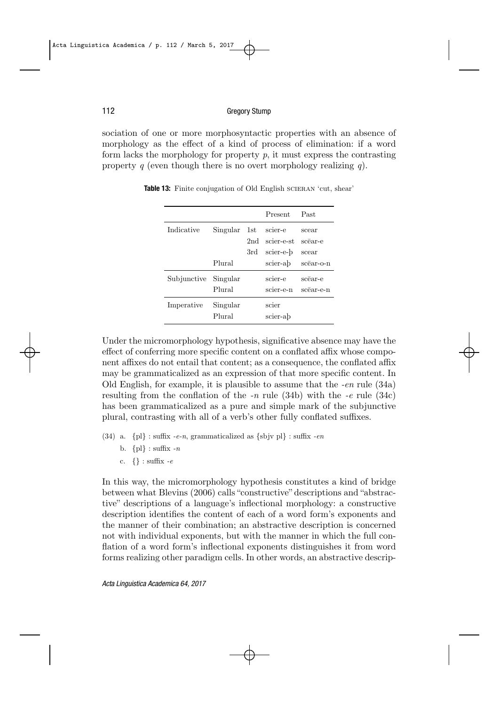sociation of one or more morphosyntactic properties with an absence of morphology as the effect of a kind of process of elimination: if a word form lacks the morphology for property *p*, it must express the contrasting property *q* (even though there is no overt morphology realizing *q*).

|             |                    |     | Present           | Past               |
|-------------|--------------------|-----|-------------------|--------------------|
| Indicative  | Singular           | 1st | scier-e           | scear              |
|             |                    | 2nd | scier-e-st        | scēar-e            |
|             |                    | 3rd | scier-e-b         | scear              |
|             | Plural             |     | scier-ab          | $sc\bar{e}$ ar-o-n |
| Subjunctive | Singular           |     | scier-e           | scēar-e            |
|             | Plural             |     | scier-e-n         | scēar-e-n          |
| Imperative  | Singular<br>Plural |     | scier<br>scier-ab |                    |

**Table 13:** Finite conjugation of Old English SCIERAN 'cut, shear'

Under the micromorphology hypothesis, significative absence may have the effect of conferring more specific content on a conflated affix whose component affixes do not entail that content; as a consequence, the conflated affix may be grammaticalized as an expression of that more specific content. In Old English, for example, it is plausible to assume that the *-en* rule (34a) resulting from the conflation of the *-n* rule (34b) with the *-e* rule (34c) has been grammaticalized as a pure and simple mark of the subjunctive plural, contrasting with all of a verb's other fully conflated suffixes.

- (34) a. *{*pl*}* : suffix *-e-n*, grammaticalized as *{*sbjv pl*}* : suffix *-en*
	- b. *{*pl*}* : suffix *-n*
	- c. *{}* : suffix *-e*

In this way, the micromorphology hypothesis constitutes a kind of bridge between what Blevins (2006) calls "constructive" descriptions and "abstractive" descriptions of a language's inflectional morphology: a constructive description identifies the content of each of a word form's exponents and the manner of their combination; an abstractive description is concerned not with individual exponents, but with the manner in which the full conflation of a word form's inflectional exponents distinguishes it from word forms realizing other paradigm cells. In other words, an abstractive descrip-

*Acta Linguistica Academica 64, 2017*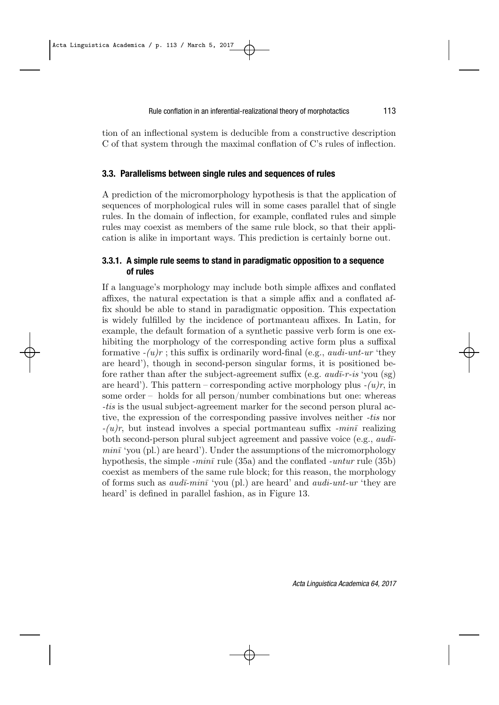tion of an inflectional system is deducible from a constructive description C of that system through the maximal conflation of C's rules of inflection.

## **3.3. Parallelisms between single rules and sequences of rules**

A prediction of the micromorphology hypothesis is that the application of sequences of morphological rules will in some cases parallel that of single rules. In the domain of inflection, for example, conflated rules and simple rules may coexist as members of the same rule block, so that their application is alike in important ways. This prediction is certainly borne out.

## **3.3.1. A simple rule seems to stand in paradigmatic opposition to a sequence of rules**

If a language's morphology may include both simple affixes and conflated affixes, the natural expectation is that a simple affix and a conflated affix should be able to stand in paradigmatic opposition. This expectation is widely fulfilled by the incidence of portmanteau affixes. In Latin, for example, the default formation of a synthetic passive verb form is one exhibiting the morphology of the corresponding active form plus a suffixal formative *-(u)r* ; this suffix is ordinarily word-final (e.g., *audi-unt-ur* 'they are heard'), though in second-person singular forms, it is positioned before rather than after the subject-agreement suffix (e.g. *audī-r-is* 'you (sg) are heard'). This pattern – corresponding active morphology plus  $-(u)r$ , in some order – holds for all person/number combinations but one: whereas *-tis* is the usual subject-agreement marker for the second person plural active, the expression of the corresponding passive involves neither *-tis* nor *-(u)r*, but instead involves a special portmanteau suffix *-minī* realizing both second-person plural subject agreement and passive voice (e.g., *audī* $min\bar{i}$  'you (pl.) are heard'). Under the assumptions of the micromorphology hypothesis, the simple *-minī* rule (35a) and the conflated *-untur* rule (35b) coexist as members of the same rule block; for this reason, the morphology of forms such as *audī-minī* 'you (pl.) are heard' and *audi-unt-ur* 'they are heard' is defined in parallel fashion, as in Figure 13.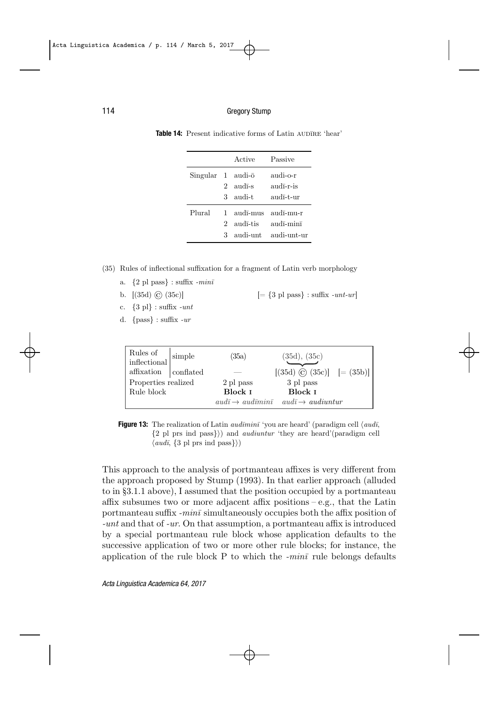|                              |        | Active                                              | Passive                                                            |
|------------------------------|--------|-----------------------------------------------------|--------------------------------------------------------------------|
| $Singular$ 1 audi- $\bar{o}$ | 2<br>3 | $\text{and}$ $\overline{1}$ -s<br>audi-t            | audi-o-r<br>audī-r-is<br>$\text{and}$ <sub>1</sub> -t- $\text{ur}$ |
| Plural                       | 2<br>3 | $1$ aud $\overline{n}$ -mus<br>audī-tis<br>audi-unt | audī-mu-r<br>audī-minī<br>audi-unt-ur                              |

**Table 14:** Present indicative forms of Latin AUDīRE 'hear'

(35) Rules of inflectional suffixation for a fragment of Latin verb morphology

- a. *{*2 pl pass*}* : suffix *-minī*
- b.  $[(35d) \circ (35c)]$   $[= \{3 \text{ pl pass}\} : \text{suffix } -unt-ur]$
- c. *{*3 pl*}* : suffix *-unt*
- d. *{*pass*}* : suffix *-ur*

| Rules of $\Big \n\begin{array}{c}\n\text{Rules of} \\ \text{inflectional}\n\end{array}\n\Big $ | (35a)     | (35d), (35c)                                                                                                                   |  |
|------------------------------------------------------------------------------------------------|-----------|--------------------------------------------------------------------------------------------------------------------------------|--|
| affixation conflated                                                                           |           | $[(35d) \odot (35c)] = (35b)]$                                                                                                 |  |
| Properties realized                                                                            | 2 pl pass | 3 pl pass                                                                                                                      |  |
| Rule block                                                                                     | Block I   | Block I                                                                                                                        |  |
|                                                                                                |           | $aud\bar{\imath} \rightarrow \alpha u d\bar{\imath} m i\bar{\imath} \quad \alpha u d\bar{\imath} \rightarrow \alpha u diuntur$ |  |

**Figure 13:** The realization of Latin *audīminī* 'you are heard' (paradigm cell *⟨audī*, *{*2 pl prs ind pass*}⟩*) and *audiuntur* 'they are heard'(paradigm cell *⟨audī*, *{*3 pl prs ind pass*}⟩*)

This approach to the analysis of portmanteau affixes is very different from the approach proposed by Stump (1993). In that earlier approach (alluded to in §3.1.1 above), I assumed that the position occupied by a portmanteau affix subsumes two or more adjacent affix positions  $-e.g.,$  that the Latin portmanteau suffix *-minī* simultaneously occupies both the affix position of *-unt* and that of *-ur*. On that assumption, a portmanteau affix is introduced by a special portmanteau rule block whose application defaults to the successive application of two or more other rule blocks; for instance, the application of the rule block P to which the *-minī* rule belongs defaults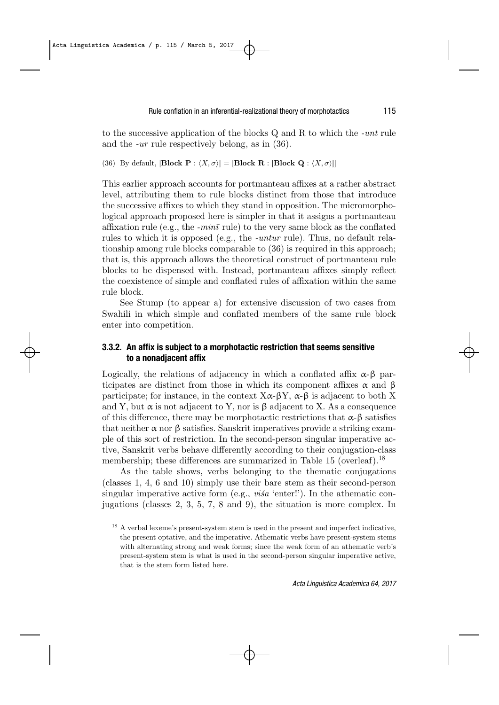to the successive application of the blocks Q and R to which the *-unt* rule and the *-ur* rule respectively belong, as in (36).

(36) By default,  $[\text{Block } \mathbf{P} : \langle X, \sigma \rangle] = [\text{Block } \mathbf{R} : [\text{Block } \mathbf{Q} : \langle X, \sigma \rangle]]$ 

This earlier approach accounts for portmanteau affixes at a rather abstract level, attributing them to rule blocks distinct from those that introduce the successive affixes to which they stand in opposition. The micromorphological approach proposed here is simpler in that it assigns a portmanteau affixation rule (e.g., the *-minī* rule) to the very same block as the conflated rules to which it is opposed (e.g., the *-untur* rule). Thus, no default relationship among rule blocks comparable to (36) is required in this approach; that is, this approach allows the theoretical construct of portmanteau rule blocks to be dispensed with. Instead, portmanteau affixes simply reflect the coexistence of simple and conflated rules of affixation within the same rule block.

See Stump (to appear a) for extensive discussion of two cases from Swahili in which simple and conflated members of the same rule block enter into competition.

## **3.3.2. An affix is subject to a morphotactic restriction that seems sensitive to a nonadjacent affix**

Logically, the relations of adjacency in which a conflated affix  $\alpha$ - $\beta$  participates are distinct from those in which its component affixes  $\alpha$  and  $\beta$ participate; for instance, in the context  $X\alpha-\beta Y$ ,  $\alpha-\beta$  is adjacent to both X and Y, but  $\alpha$  is not adjacent to Y, nor is  $\beta$  adjacent to X. As a consequence of this difference, there may be morphotactic restrictions that  $\alpha$ - $\beta$  satisfies that neither  $\alpha$  nor  $\beta$  satisfies. Sanskrit imperatives provide a striking example of this sort of restriction. In the second-person singular imperative active, Sanskrit verbs behave differently according to their conjugation-class membership; these differences are summarized in Table 15 (overleaf).<sup>18</sup>

As the table shows, verbs belonging to the thematic conjugations (classes 1, 4, 6 and 10) simply use their bare stem as their second-person singular imperative active form (e.g., *viśa* 'enter!'). In the athematic conjugations (classes 2, 3, 5, 7, 8 and 9), the situation is more complex. In

<sup>&</sup>lt;sup>18</sup> A verbal lexeme's present-system stem is used in the present and imperfect indicative, the present optative, and the imperative. Athematic verbs have present-system stems with alternating strong and weak forms; since the weak form of an athematic verb's present-system stem is what is used in the second-person singular imperative active, that is the stem form listed here.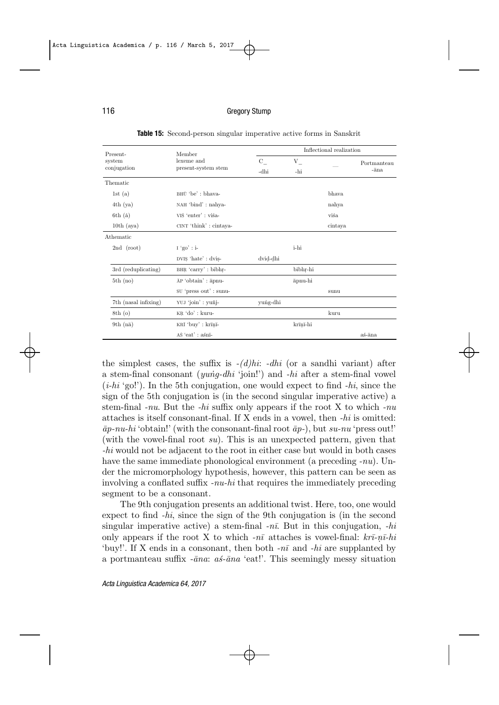| Present-             | Member                                    | Inflectional realization |          |         |                   |
|----------------------|-------------------------------------------|--------------------------|----------|---------|-------------------|
| system               | lexeme and                                | $C_{-}$                  | $V_{-}$  |         | Portmanteau       |
| conjugation          | present-system stem                       | -dhi                     | -hi      |         | $-\overline{a}na$ |
| Thematic             |                                           |                          |          |         |                   |
| 1st $(a)$            | BHU 'be' : bhava-                         |                          |          | bhava.  |                   |
| $4th$ (ya)           | NAH 'bind': nahya-                        |                          |          | nahya   |                   |
| 6th(á)               | VIŠ 'enter' : viša-                       |                          |          | viśa    |                   |
| $10th$ (aya)         | CINT 'think' : cintaya-                   |                          |          | cintaya |                   |
| Athematic            |                                           |                          |          |         |                   |
| $2nd$ (root)         | $1 'go'$ : i-                             |                          | i-hi     |         |                   |
|                      | DVIS 'hate' : dvis-                       | dvid-dhi                 |          |         |                   |
| 3rd (reduplicating)  | BHR 'carry' : bibhr-                      |                          | bibhr-hi |         |                   |
| $5th$ (no)           | $AP$ 'obtain': $\bar{a}$ pnu-             |                          | āpnu-hi  |         |                   |
|                      | SU 'press out' : sunu-                    |                          |          | sunu    |                   |
| 7th (nasal infixing) | YUJ 'join' : yuñj-                        | yung-dhi                 |          |         |                   |
| $8th$ (o)            | KR 'do' : kuru-                           |                          |          | kuru    |                   |
| $9th$ ( $n\bar{a}$ ) | KRĪ 'buy' : krīnī-                        |                          | krīnī-hi |         |                   |
|                      | $A\dot{S}$ 'eat' : $a\acute{s}n\bar{i}$ - |                          |          |         | aś-āna            |

**Table 15:** Second-person singular imperative active forms in Sanskrit

the simplest cases, the suffix is  $-(d)hi$ :  $-dhi$  (or a sandhi variant) after a stem-final consonant (*yuṅg-dhi* 'join!') and *-hi* after a stem-final vowel (*i-hi* 'go!'). In the 5th conjugation, one would expect to find *-hi*, since the sign of the 5th conjugation is (in the second singular imperative active) a stem-final *-nu*. But the *-hi* suffix only appears if the root X to which *-nu* attaches is itself consonant-final. If X ends in a vowel, then *-hi* is omitted: *āp-nu-hi* 'obtain!' (with the consonant-final root *āp-*), but *su-nu* 'press out!' (with the vowel-final root *su*). This is an unexpected pattern, given that *-hi* would not be adjacent to the root in either case but would in both cases have the same immediate phonological environment (a preceding *-nu*). Under the micromorphology hypothesis, however, this pattern can be seen as involving a conflated suffix *-nu-hi* that requires the immediately preceding segment to be a consonant.

The 9th conjugation presents an additional twist. Here, too, one would expect to find *-hi*, since the sign of the 9th conjugation is (in the second singular imperative active) a stem-final *-nī*. But in this conjugation, *-hi* only appears if the root X to which *-nī* attaches is vowel-final: *krī-ṇī-hi* 'buy!'. If X ends in a consonant, then both *-nī* and *-hi* are supplanted by a portmanteau suffix *-āna*: *aś-āna* 'eat!'. This seemingly messy situation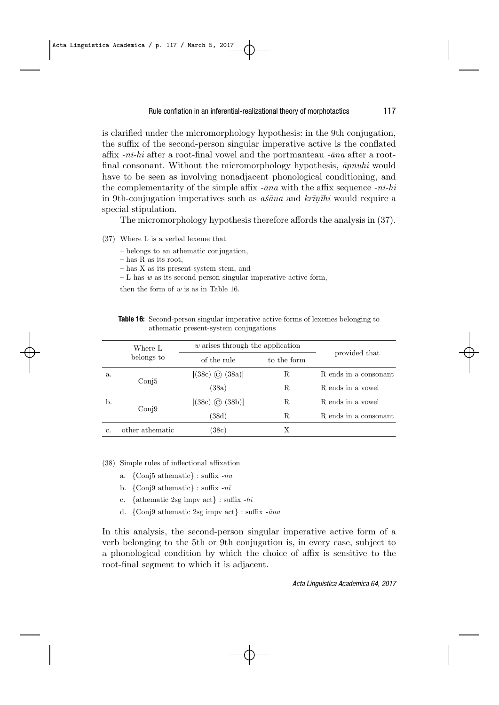is clarified under the micromorphology hypothesis: in the 9th conjugation, the suffix of the second-person singular imperative active is the conflated affix *-nī-hi* after a root-final vowel and the portmanteau *-āna* after a rootfinal consonant. Without the micromorphology hypothesis, *āpnuhi* would have to be seen as involving nonadjacent phonological conditioning, and the complementarity of the simple affix *-āna* with the affix sequence *-nī-hi* in 9th-conjugation imperatives such as *aśāna* and *krīṇīhi* would require a special stipulation.

The micromorphology hypothesis therefore affords the analysis in (37).

(37) Where L is a verbal lexeme that

- belongs to an athematic conjugation,
- has R as its root,
- has X as its present-system stem, and
- L has *w* as its second-person singular imperative active form,

then the form of *w* is as in Table 16.

|    | Where L         | $w$ arises through the application |             |                       |
|----|-----------------|------------------------------------|-------------|-----------------------|
|    | belongs to      | of the rule                        | to the form | provided that         |
| a. |                 | $[(38c) \odot (38a)]$              | R           | R ends in a consonant |
|    | Conj5           | (38a)                              | R           | R ends in a vowel     |
| b. |                 | $(38c)$ (c) $(38b)$                | R           | R ends in a vowel     |
|    | Conj9           | (38d)                              | R           | R ends in a consonant |
| c. | other athematic | $^{'}38c)$                         | Х           |                       |

**Table 16:** Second-person singular imperative active forms of lexemes belonging to athematic present-system conjugations

(38) Simple rules of inflectional affixation

- a. *{*Conj5 athematic*}* : suffix *-nu*
- b. *{*Conj9 athematic*}* : suffix *-nī*
- c. *{*athematic 2sg impv act*}* : suffix *-hi*
- d. *{*Conj9 athematic 2sg impv act*}* : suffix *-āna*

In this analysis, the second-person singular imperative active form of a verb belonging to the 5th or 9th conjugation is, in every case, subject to a phonological condition by which the choice of affix is sensitive to the root-final segment to which it is adjacent.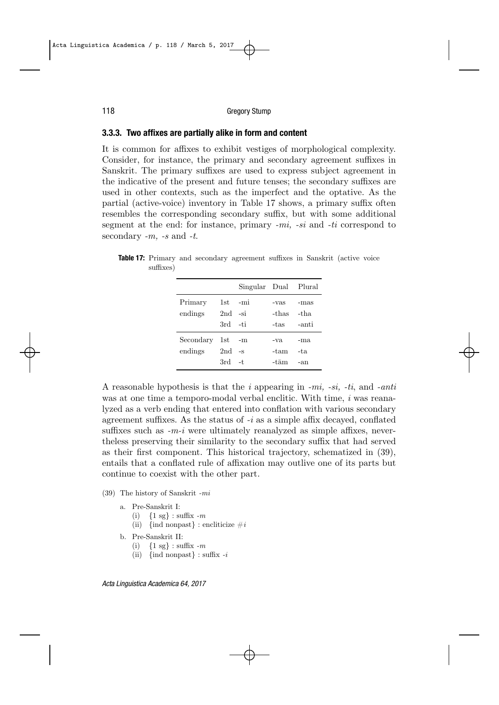## **3.3.3. Two affixes are partially alike in form and content**

It is common for affixes to exhibit vestiges of morphological complexity. Consider, for instance, the primary and secondary agreement suffixes in Sanskrit. The primary suffixes are used to express subject agreement in the indicative of the present and future tenses; the secondary suffixes are used in other contexts, such as the imperfect and the optative. As the partial (active-voice) inventory in Table 17 shows, a primary suffix often resembles the corresponding secondary suffix, but with some additional segment at the end: for instance, primary *-mi, -si* and *-ti* correspond to secondary *-m, -s* and *-t*.

suffixes)

**Table 17:** Primary and secondary agreement suffixes in Sanskrit (active voice

|                             |                                 | Singular Dual Plural |                       |                       |
|-----------------------------|---------------------------------|----------------------|-----------------------|-----------------------|
| Primary<br>endings          | 1st -mi<br>$2nd$ -si<br>3rd -ti |                      | -vas<br>-thas<br>-tas | -mas<br>-tha<br>-anti |
| Secondary 1st -m<br>endings | $2nd -s$<br>$3rd$ -t            |                      | -va<br>-tam<br>-tām   | -ma<br>-ta<br>-an     |

A reasonable hypothesis is that the *i* appearing in *-mi, -si, -ti*, and *-anti* was at one time a temporo-modal verbal enclitic. With time, *i* was reanalyzed as a verb ending that entered into conflation with various secondary agreement suffixes. As the status of *-i* as a simple affix decayed, conflated suffixes such as *-m-i* were ultimately reanalyzed as simple affixes, nevertheless preserving their similarity to the secondary suffix that had served as their first component. This historical trajectory, schematized in (39), entails that a conflated rule of affixation may outlive one of its parts but continue to coexist with the other part.

- (39) The history of Sanskrit *-mi*
	- a. Pre-Sanskrit I:
		- (i) *{*1 sg*}* : suffix *-m*
		- (ii)  $\{\text{ind nonpast}\}\$ : encliticize  $\#i$
	- b. Pre-Sanskrit II:
		- (i) *{*1 sg*}* : suffix *-m*
		- (ii) *{*ind nonpast*}* : suffix *-i*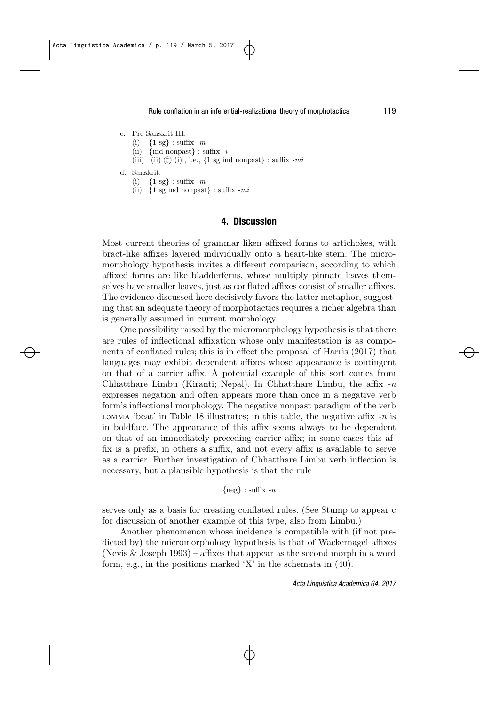c. Pre-Sanskrit III:

- (i) *{*1 sg*}* : suffix *-m*
- (ii) *{*ind nonpast*}* : suffix *-i*
- (iii)  $[(ii) (c) (i)]$ , i.e.,  $\{1 \text{ sg ind nonpast}\}\)$ : suffix *-mi*
- d. Sanskrit:
	- (i) *{*1 sg*}* : suffix *-m*
	- (ii) *{*1 sg ind nonpast*}* : suffix *-mi*

#### **4. Discussion**

Most current theories of grammar liken affixed forms to artichokes, with bract-like affixes layered individually onto a heart-like stem. The micromorphology hypothesis invites a different comparison, according to which affixed forms are like bladderferns, whose multiply pinnate leaves themselves have smaller leaves, just as conflated affixes consist of smaller affixes. The evidence discussed here decisively favors the latter metaphor, suggesting that an adequate theory of morphotactics requires a richer algebra than is generally assumed in current morphology.

One possibility raised by the micromorphology hypothesis is that there are rules of inflectional affixation whose only manifestation is as components of conflated rules; this is in effect the proposal of Harris (2017) that languages may exhibit dependent affixes whose appearance is contingent on that of a carrier affix. A potential example of this sort comes from Chhatthare Limbu (Kiranti; Nepal). In Chhatthare Limbu, the affix *-n* expresses negation and often appears more than once in a negative verb form's inflectional morphology. The negative nonpast paradigm of the verb LɔMMA 'beat' in Table 18 illustrates; in this table, the negative affix *-n* is in boldface. The appearance of this affix seems always to be dependent on that of an immediately preceding carrier affix; in some cases this affix is a prefix, in others a suffix, and not every affix is available to serve as a carrier. Further investigation of Chhatthare Limbu verb inflection is necessary, but a plausible hypothesis is that the rule

```
{neg} : suffix -n
```
serves only as a basis for creating conflated rules. (See Stump to appear c for discussion of another example of this type, also from Limbu.)

Another phenomenon whose incidence is compatible with (if not predicted by) the micromorphology hypothesis is that of Wackernagel affixes (Nevis & Joseph 1993) – affixes that appear as the second morph in a word form, e.g., in the positions marked 'X' in the schemata in (40).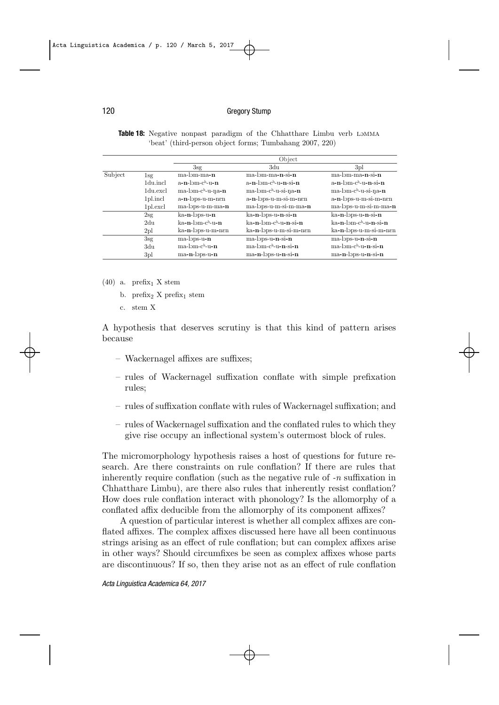|         |                 |                        | Object                            |                                   |
|---------|-----------------|------------------------|-----------------------------------|-----------------------------------|
|         |                 | $3\text{sg}$           | 3du                               | 3 <sub>p</sub> l                  |
| Subject | $1$ sg          | $ma-lom-ma-n$          | $ma-lom-ma-n-si-n$                | $ma-lom-ma-n-si-n$                |
|         | 1du.incl        | $a-n-lom-ch-u-n$       | $a-n-lom-ch-u-n-si-n$             | $a-n-lom-ch-u-n-si-n$             |
|         | 1du.excl        | $ma-lom-ch-u-n$ a-n    | $ma-lom-ch-u-si-na-n$             | $ma-lom-ch-u-si-na-n$             |
|         | 1pl.incl        | a-n-lops-u-m-nen       | a-n-lops-u-m-si-m-nen             | a-n-lops-u-m-si-m-nen             |
|         | $1pl$ . excl    | $ma$ -lops-u-m-ma- $n$ | ma-lops-u-m-si-m-ma-n             | ma-lops-u-m-si-m-ma-n             |
|         | 2sg             | ka-n-lops-u-n          | ka-n-ləps-u-n-si-n                | ka-n-lops-u-n-si-n                |
|         | 2 <sub>du</sub> | $ka-n-lom-cb-u-n$      | ka-n-ləm-c <sup>h</sup> -u-n-si-n | ka-n-ləm-c <sup>h</sup> -u-n-si-n |
|         | 2 <sub>pl</sub> | ka-n-lops-u-m-nen      | ka-n-lops-u-m-si-m-nen            | ka-n-lops-u-m-si-m-nen            |
|         | 3sg             | $ma$ -lops- $u$ -n     | $ma$ -lops-u- $n$ -si- $n$        | $ma$ -lops-u- $n$ -si- $n$        |
|         | 3du             | $ma-lom-ch-u-n$        | $ma-lom-ch-u-n-si-n$              | $ma-lom-ch-u-n-si-n$              |
|         | 3 <sub>pl</sub> | $ma-n-lops-u-n$        | ma-n-lops-u-n-si-n                | $ma-n-lops-u-n-si-n$              |

**Table 18:** Negative nonpast paradigm of the Chhatthare Limbu verb LɔMMA 'beat' (third-person object forms; Tumbahang 2007, 220)

- (40) a. prefix<sub>1</sub> X stem
	- b. prefix<sub>2</sub> X prefix<sub>1</sub> stem
	- c. stem X

A hypothesis that deserves scrutiny is that this kind of pattern arises because

- Wackernagel affixes are suffixes;
- rules of Wackernagel suffixation conflate with simple prefixation rules;
- rules of suffixation conflate with rules of Wackernagel suffixation; and
- rules of Wackernagel suffixation and the conflated rules to which they give rise occupy an inflectional system's outermost block of rules.

The micromorphology hypothesis raises a host of questions for future research. Are there constraints on rule conflation? If there are rules that inherently require conflation (such as the negative rule of *-n* suffixation in Chhatthare Limbu), are there also rules that inherently resist conflation? How does rule conflation interact with phonology? Is the allomorphy of a conflated affix deducible from the allomorphy of its component affixes?

A question of particular interest is whether all complex affixes are conflated affixes. The complex affixes discussed here have all been continuous strings arising as an effect of rule conflation; but can complex affixes arise in other ways? Should circumfixes be seen as complex affixes whose parts are discontinuous? If so, then they arise not as an effect of rule conflation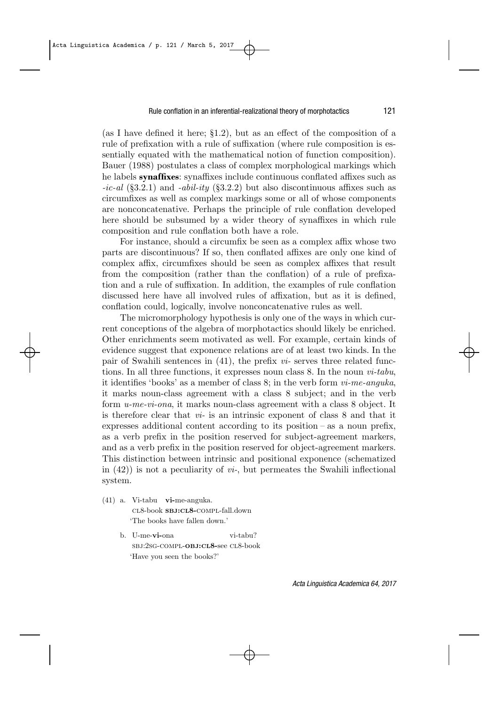(as I have defined it here; §1.2), but as an effect of the composition of a rule of prefixation with a rule of suffixation (where rule composition is essentially equated with the mathematical notion of function composition). Bauer (1988) postulates a class of complex morphological markings which he labels **synaffixes**: synaffixes include continuous conflated affixes such as *-ic-al* (§3.2.1) and *-abil-ity* (§3.2.2) but also discontinuous affixes such as circumfixes as well as complex markings some or all of whose components are nonconcatenative. Perhaps the principle of rule conflation developed here should be subsumed by a wider theory of synaffixes in which rule composition and rule conflation both have a role.

For instance, should a circumfix be seen as a complex affix whose two parts are discontinuous? If so, then conflated affixes are only one kind of complex affix, circumfixes should be seen as complex affixes that result from the composition (rather than the conflation) of a rule of prefixation and a rule of suffixation. In addition, the examples of rule conflation discussed here have all involved rules of affixation, but as it is defined, conflation could, logically, involve nonconcatenative rules as well.

The micromorphology hypothesis is only one of the ways in which current conceptions of the algebra of morphotactics should likely be enriched. Other enrichments seem motivated as well. For example, certain kinds of evidence suggest that exponence relations are of at least two kinds. In the pair of Swahili sentences in (41), the prefix *vi-* serves three related functions. In all three functions, it expresses noun class 8. In the noun *vi-tabu*, it identifies 'books' as a member of class 8; in the verb form *vi-me-anguka*, it marks noun-class agreement with a class 8 subject; and in the verb form *u-me-vi-ona*, it marks noun-class agreement with a class 8 object. It is therefore clear that *vi-* is an intrinsic exponent of class 8 and that it expresses additional content according to its position – as a noun prefix, as a verb prefix in the position reserved for subject-agreement markers, and as a verb prefix in the position reserved for object-agreement markers. This distinction between intrinsic and positional exponence (schematized in (42)) is not a peculiarity of *vi-*, but permeates the Swahili inflectional system.

- (41) a. Vi-tabu **vi-**me-anguka. CL8-book **SBJ:CL8-**COMPL-fall.down 'The books have fallen down.'
	- b. U-me-**vi-**ona vi-tabu? SBJ:2SG-COMPL-**OBJ:CL8-**see CL8-book 'Have you seen the books?'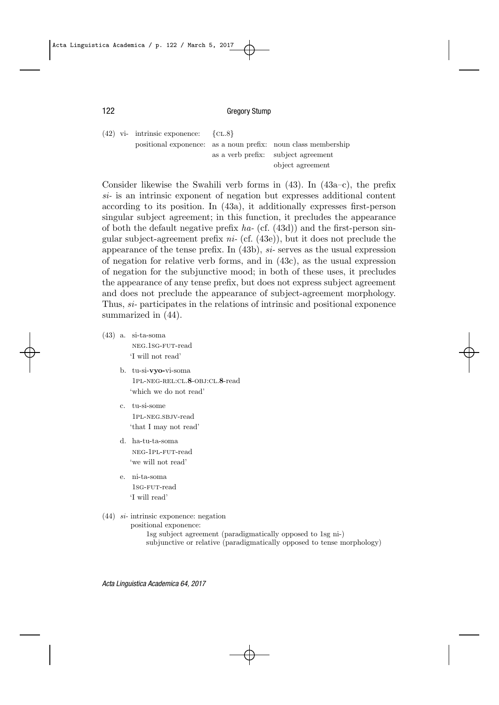#### 122 Gregory Stump

(42) vi- intrinsic exponence: *{*CL.8*}* positional exponence: as a noun prefix: noun class membership as a verb prefix: subject agreement object agreement

Consider likewise the Swahili verb forms in  $(43)$ . In  $(43a-c)$ , the prefix *si-* is an intrinsic exponent of negation but expresses additional content according to its position. In (43a), it additionally expresses first-person singular subject agreement; in this function, it precludes the appearance of both the default negative prefix *ha-* (cf. (43d)) and the first-person singular subject-agreement prefix *ni-* (cf. (43e)), but it does not preclude the appearance of the tense prefix. In (43b), *si-* serves as the usual expression of negation for relative verb forms, and in (43c), as the usual expression of negation for the subjunctive mood; in both of these uses, it precludes the appearance of any tense prefix, but does not express subject agreement and does not preclude the appearance of subject-agreement morphology. Thus, *si-* participates in the relations of intrinsic and positional exponence summarized in  $(44)$ .

- $(43)$  a. si-ta-soma NEG.1SG-FUT-read 'I will not read'
	- b. tu-si-**vyo-**vi-soma 1PL-NEG-REL:CL.**8**-OBJ:CL.**8**-read 'which we do not read'
	- c. tu-si-some 1PL-NEG.SBJV-read 'that I may not read'
	- d. ha-tu-ta-soma NEG-1PL-FUT-read 'we will not read'
	- e. ni-ta-soma 1SG-FUT-read 'I will read'
- (44) *si-* intrinsic exponence: negation positional exponence: 1sg subject agreement (paradigmatically opposed to 1sg ni-) subjunctive or relative (paradigmatically opposed to tense morphology)

*Acta Linguistica Academica 64, 2017*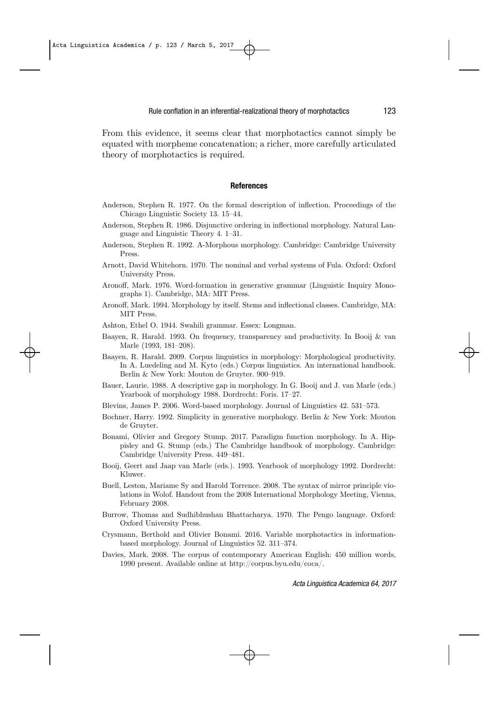From this evidence, it seems clear that morphotactics cannot simply be equated with morpheme concatenation; a richer, more carefully articulated theory of morphotactics is required.

#### **References**

- Anderson, Stephen R. 1977. On the formal description of inflection. Proceedings of the Chicago Linguistic Society 13. 15–44.
- Anderson, Stephen R. 1986. Disjunctive ordering in inflectional morphology. Natural Language and Linguistic Theory 4. 1–31.
- Anderson, Stephen R. 1992. A-Morphous morphology. Cambridge: Cambridge University Press.
- Arnott, David Whitehorn. 1970. The nominal and verbal systems of Fula. Oxford: Oxford University Press.
- Aronoff, Mark. 1976. Word-formation in generative grammar (Linguistic Inquiry Monographs 1). Cambridge, MA: MIT Press.
- Aronoff, Mark. 1994. Morphology by itself. Stems and inflectional classes. Cambridge, MA: MIT Press.
- Ashton, Ethel O. 1944. Swahili grammar. Essex: Longman.
- Baayen, R. Harald. 1993. On frequency, transparency and productivity. In Booij & van Marle (1993, 181–208).
- Baayen, R. Harald. 2009. Corpus linguistics in morphology: Morphological productivity. In A. Luedeling and M. Kyto (eds.) Corpus linguistics. An international handbook. Berlin & New York: Mouton de Gruyter. 900–919.
- Bauer, Laurie. 1988. A descriptive gap in morphology. In G. Booij and J. van Marle (eds.) Yearbook of morphology 1988. Dordrecht: Foris. 17–27.
- Blevins, James P. 2006. Word-based morphology. Journal of Linguistics 42. 531–573.
- Bochner, Harry. 1992. Simplicity in generative morphology. Berlin & New York: Mouton de Gruyter.
- Bonami, Olivier and Gregory Stump. 2017. Paradigm function morphology. In A. Hippisley and G. Stump (eds.) The Cambridge handbook of morphology. Cambridge: Cambridge University Press. 449–481.
- Booij, Geert and Jaap van Marle (eds.). 1993. Yearbook of morphology 1992. Dordrecht: Kluwer.
- Buell, Leston, Mariame Sy and Harold Torrence. 2008. The syntax of mirror principle violations in Wolof. Handout from the 2008 International Morphology Meeting, Vienna, February 2008.
- Burrow, Thomas and Sudhibhushan Bhattacharya. 1970. The Pengo language. Oxford: Oxford University Press.
- Crysmann, Berthold and Olivier Bonami. 2016. Variable morphotactics in informationbased morphology. Journal of Linguistics 52. 311–374.
- Davies, Mark. 2008. The corpus of contemporary American English: 450 million words, 1990 present. Available online at http://corpus.byu.edu/coca/.